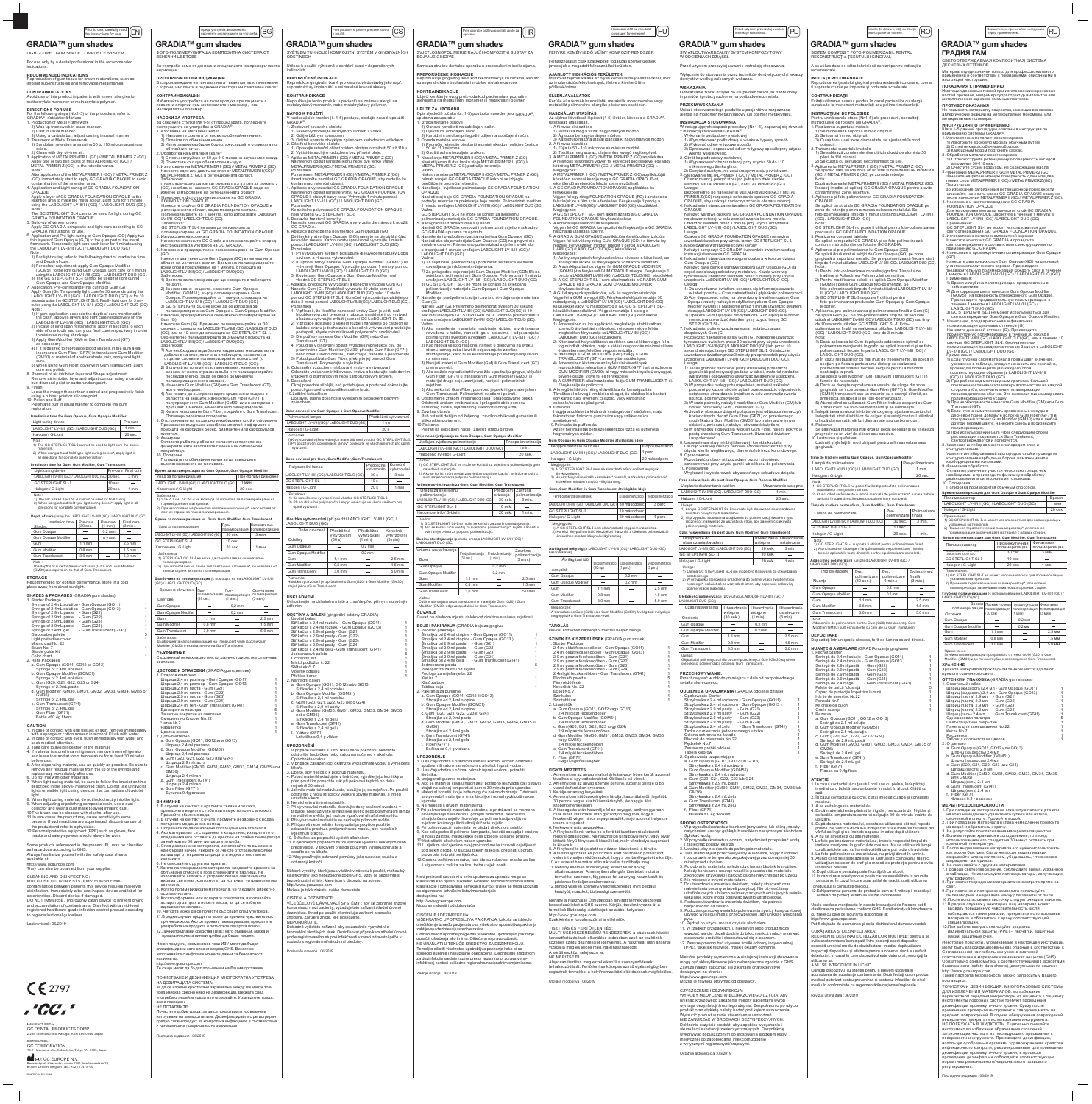| Prior to use, carefully read<br>EN<br>the instructions for use.                                                                                                                                |                                                                                                                                                                                                                                   |                                      | Преди употреба, внимателно<br>прочетете инструкциите за употреба. | BG                                           |                                                                                                                                                                                     | k použití.                           | Před použitím si pečlivě přečtěte návod | <b>CS</b>                                              |
|------------------------------------------------------------------------------------------------------------------------------------------------------------------------------------------------|-----------------------------------------------------------------------------------------------------------------------------------------------------------------------------------------------------------------------------------|--------------------------------------|-------------------------------------------------------------------|----------------------------------------------|-------------------------------------------------------------------------------------------------------------------------------------------------------------------------------------|--------------------------------------|-----------------------------------------|--------------------------------------------------------|
| GRADIA™ gum shades                                                                                                                                                                             | GRADIA <sup>™</sup> gum shades                                                                                                                                                                                                    |                                      |                                                                   |                                              | GRADIA™ gum shades                                                                                                                                                                  |                                      |                                         | <b>GR</b>                                              |
| LIGHT-CURED GUM SHADE COMPOSITE SYSTEM                                                                                                                                                         | ФОТО-ПОЛИМЕРИЗИРАЩА КОМПОЗИТНА СИСТЕМА ОТ<br>ВЕНЕЧНИ ЦВЕТОВЕ                                                                                                                                                                      |                                      |                                                                   |                                              | SVĚTLEM TUHNOUCÍ KOMPOZITNÍ SYSTÉM V GINGIVÁLNÍCH<br><b>ODSTÍNECH</b>                                                                                                               |                                      |                                         | <b>SVJET</b><br><b>BOJAN</b>                           |
| For use only by a dental professional in the recommended<br>indications.                                                                                                                       | За употреба само от дентални специалисти за препоръчаните                                                                                                                                                                         |                                      |                                                                   |                                              | Určeno k použití výhradně v dentální praxi v doporučených                                                                                                                           |                                      |                                         | Samo <sub>z</sub>                                      |
| <b>RECOMMENDED INDICATIONS</b>                                                                                                                                                                 | индикации.                                                                                                                                                                                                                        |                                      |                                                                   |                                              | indikacích.                                                                                                                                                                         |                                      |                                         | <b>PREPO</b>                                           |
| Reproduction of gum tissue for crown restorations, such as<br>implant superstructures and removable metal frames.                                                                              | ПРЕПОРЪЧИТЕЛНИ ИНДИКАЦИИ<br>Възпроизвеждане на гингивалната тъкан при възстановяване<br>с корони, импланти и подвижни конструкции с метален скелет.                                                                               |                                      |                                                                   |                                              | <b>DOPORUČENÉ INDIKACE</b><br>Reprodukce gingivální tkáně pro korunkové dostavby jako např.<br>suprastruktury implantátů a snímatelné kovové skelety.                               |                                      |                                         | Reprod<br>su supe<br><b>KONTI</b>                      |
| <b>CONTRAINDICATIONS</b><br>Avoid use of this product in patients with known allergies to<br>methacrylate monomer or methacrylate polymer.                                                     | <b>КОНТРАИНДИКАЦИИ</b><br>Избягвайте употребата на този продукт при пациенти с<br>известни алергии към метакрилатен мономер, или                                                                                                  |                                      |                                                                   |                                              | <b>KONTRAINDIKACE</b><br>Nepoužívejte tento produkt u pacientů se známou alergií na<br>metakrylátový monomér, nebo metakrylátový polymer.                                           |                                      |                                         | Izbjeći<br>alergija                                    |
| <b>DIRECTIONS FOR USE</b><br>For the following steps (No.1-5) of the procedure, refer to                                                                                                       | метакрилатен полимер.                                                                                                                                                                                                             |                                      |                                                                   |                                              | NÁVOD K POUŽITÍ                                                                                                                                                                     |                                      |                                         | <b>UPUTE</b><br>Opis sl                                |
| GRADIA <sup>®</sup> instructions for use.<br>1. Production of Metal Framework                                                                                                                  | НАСОКИ ЗА УПОТРЕБА<br>За следните стъпки (№ 1-5) от процедурата, погледнете                                                                                                                                                       |                                      |                                                                   |                                              | V následujících krocích (č. 1-5) postupu, sledujte návod k použití<br>GRADIA <sup>®</sup> .                                                                                         |                                      |                                         | uputam<br>1. Izrac                                     |
| 1) Wax up framework in usual manner.<br>2) Cast in usual manner.<br>3) Using a carbide bur, adjust casting in usual manner.                                                                    | инструкциите за употреба на GRADIA®.<br>1. Изготвяне на Метален Скелет<br>1) Направете скелета от восък по обичайния начин.                                                                                                       |                                      |                                                                   |                                              | 1. Zhotovení kovového skeletu<br>1) Skelet vymodelujte běžným způsobem z vosku.<br>2) Odlijte běžným způsobem.                                                                      |                                      |                                         | $1)$ O<br>$2)$ Li<br>$3)$ Ka                           |
| 2. Treatment of Metal Framework<br>1) Sandblast retention area using 50 to 110 micron aluminum                                                                                                 | 2) Отлейте по обичайния начин.<br>3) Използвайки карбиден борер, ажустирайте отливката по                                                                                                                                         |                                      |                                                                   |                                              | 3) Odlitek upravte obvyklým způsobem karbidovým vrtáčkem.<br>2. Ošetření kovového skeletu                                                                                           |                                      |                                         | 2. Obra<br>1) Po                                       |
| oxide.<br>2) Clean with dry, oil-free air.                                                                                                                                                     | обичайния начин.<br>2. Обработка на металния скелет                                                                                                                                                                               |                                      |                                                                   |                                              | 1) Opískujte retenční oblast oxidem hlinitým o zrnitosti 50 až 110 µ.<br>2) Vyčistěte suchým vzduchem bez příměsi oleje.                                                            |                                      |                                         | $2)$ O                                                 |
| 3. Application of METALPRIMER II (GC) // METAL PRIMER Z (GC)<br>Apply one or two thin coats of METALPRIMER II (GC) //<br>METAL PRIMER Z (GC) to the retention area.<br>Note:                   | 1) С песъкоструйник от 50 до 110 микрона алуминиев оксид.<br>2) Почистете със сух обезмаслен въздух.<br>3. Използване на METALPRIMER II (GC) // METAL PRIMER Z (GC)<br>Нанесете един или два тънки слоя от METALPRIMER II (GC) // |                                      |                                                                   |                                              | 3. Aplikace METALPRIMER II (GC) // METAL PRIMER Z (GC)<br>Na retenční oblast naneste jednu nebo dvě tenké vrstvy<br>METALPRIMER II (GC) // METAL PRIMER Z (GC).<br>Poznámka:        |                                      |                                         | 3. Nan<br>Nani<br>MET<br>Važr                          |
| After application of the METALPRIMER II (GC) // METAL PRIMER Z<br>(GC), immediately start to apply GC GRADIA OPAQUE to avoid                                                                   | METAL PRIMER Z (GC), в ретенционната област.<br>Забележка:                                                                                                                                                                        |                                      |                                                                   |                                              | Po nanesení METALPRIMER II (GC) // METAL PRIMER Z (GC)<br>ihned začněte nanášet GC GRADIA OPAQUE, aby nedošlo ke                                                                    |                                      |                                         | Nako<br>odm                                            |
| contamination of the retention area.<br>4. Application and Light curing of GC GRADIA FOUNDATION<br>OPAQUE                                                                                      | След нанасянето на METALPRIMER II (GC) // METAL PRIMER Z<br>(GC), незабавно нанесете GC GRADIA OPAQUE за да се                                                                                                                    |                                      |                                                                   |                                              | kontaminaci retenční oblasti.<br>4. Aplikace a vytvrzování GC GRADIA FOUNDATION OPAQUE                                                                                              |                                      |                                         | oneč<br>4. Nand                                        |
| Apply a layer of GC GRADIA FOUNDATION OPAQUE to the<br>retention area to mask the metal colour. Light cure for 1 minute                                                                        | избегне замърсяване на ретенционната област.<br>4. Нанасяне и фото-полимеризиране на GC GRADIA<br>FOUNDATION OPAQUE                                                                                                               |                                      |                                                                   |                                              | Na retenční oblast naneste vrstvu GC GRADIA FOUNDATION<br>OPAQUE k překrytí barvy kovu. Vytvrzujte 1 minutu pomocí<br>LABOLIGHT LV-II/III (GC) / LABOLIGHT DUO (GC)                 |                                      |                                         | OPA<br>Nani<br>podr                                    |
| using the LABOLIGHT LV-II/III (GC) / LABOLIGHT DUO (GC).<br>Note:                                                                                                                              | Нанесете слой от GC GRADIA FOUNDATION OPAQUE в<br>ретенционната област, за да маскирате метала.                                                                                                                                   |                                      |                                                                   |                                              | Poznámka:<br>Ke světelné polymeraci GC GRADIA FOUNDATION OPAQUE                                                                                                                     |                                      |                                         | 1 mir<br>Važn                                          |
| The GC STEPLIGHT SL-I cannot be used for light curing GC<br><b>GRADIA FOUNDATION OPAQUE.</b>                                                                                                   | Полимеризирайте за 1 минута, като използвате LABOLIGHT<br>LV-II/III (GC) / LABOLIGHT DUO (GC).                                                                                                                                    |                                      |                                                                   |                                              | není vhodná GC STEPLIGHT SL-I.<br>5. Dostavba fazetové korunky                                                                                                                      |                                      |                                         | GC S<br>polin                                          |
| 5. Build-up of veneer crown<br>Apply GC GRADIA composite and light cure according to GC                                                                                                        | Забележка:<br>GC STEPLIGHT SL-I не може да се използва за                                                                                                                                                                         |                                      |                                                                   |                                              | Naneste kompozit GC GRADIA a vytvrzujte dle návodu k použití<br>GC GRADIA.                                                                                                          |                                      |                                         | 5. Nado<br>Nani<br>GC 0                                |
| GRADIA instructions for use.<br>6. Application and Pre-light curing of Gum Opaque (GO) Apply two<br>thin layers of Gum Opaque (G O) to the gum part of the metal                               | полимеризиране на GC GRADIA FOUNDATION OPAQUE<br>5. Изграждане на короната<br>Нанесете композита GC Gradia и полимеризирайте според                                                                                               |                                      |                                                                   |                                              | 6. Aplikace a předběžná polymerace Gum Opaque (GO)<br>Dvě tenké vrstvy Gum Opaque (GO) naneste na gingivální část<br>kovového skeletu. Každou vrstvu provizorně vytvrzujte 1 minutu |                                      |                                         |                                                        |
| framework. Temporarily light cure each layer for 1 minute using<br>the LABOLIGHT LV-II/III (GC) / LABOLIGHT DUO (GC)                                                                           | инструкцията за употреба на GC GRADIA.                                                                                                                                                                                            |                                      |                                                                   |                                              | pomocí LABOLIGHT LV-II/III (GC) / LABOLIGHT DUO (GC)<br>Poznámka:                                                                                                                   |                                      |                                         |                                                        |
| Note:<br>1) For light curing refer to the following chart of Irradiation time                                                                                                                  | 6. Нанасяне и предварително полимеризиране на Gum Opaque<br>(GO)<br>Нанесете два тънки слоя Gum Opaque (GO) в гингивалната                                                                                                        |                                      |                                                                   |                                              | 1) Při vytvrzování světlem postupujte dle uvedené tabulky Doba<br>osvícení a Hloubka vytvrzování.                                                                                   |                                      |                                         |                                                        |
| and Depth of cure.<br>2) For colour adjustment, apply Gum Opaque Modifier<br>(GOM51) to the light cured Gum Opaque. Light cure for 1 minute                                                    | област на металния скелет. Временно полимеризирайте<br>всеки слой в продължение на 1 минута, с помощта на                                                                                                                         |                                      |                                                                   |                                              | 2) K úpravě barvy naneste Gum Opaque Modifier (GOM51) na<br>vytvrzený Gum Opaque. Vytvrzujte po dobu 1 minuty pomocí<br>LABOLIGHT LV-II/III (GC) / LABOLIGHT DUO (GC)               |                                      |                                         |                                                        |
| using the LABOLIGHT LV-II/III (GC) / LABOLIGHT DUO (GC).<br>3) The GC STEPLIGHT SL-I cannot be used for light curing                                                                           | LABOLIGHT LV-II/III (GC) / LABOLIGHT DUO (GC).<br>Забележка:<br>1) Времето за полимеризация ще намерите в таблицата                                                                                                               |                                      |                                                                   |                                              | 3) K vytvrzení Gum Opaque a Gum Opaque Modifier není<br>vhodná GC STEPLIGHT SL-I.                                                                                                   |                                      |                                         |                                                        |
| Gum Opaque and Gum Opaque Modifier.<br>7. Application, Pre-curing and Final curing of Gum (G)                                                                                                  | по-долу.<br>2) За напасване на цвета, нанесете Gum Opaque                                                                                                                                                                         |                                      |                                                                   |                                              | 7. Aplikace, předběžné vytvrzování a konečné vytvrzení Gum (G)<br>Naneste Gum (G). Předběžně vytvrzujte 30 vteřin pomocí                                                            |                                      |                                         | $3)$ G                                                 |
| Apply Gum (G). Temporarily light cure for 30 seconds using the<br>LABOLIGHT LV-II/III (GC) / LABOLIGHT DUO (GC) or for 10<br>seconds using the GC STEPLIGHT SL-I. Finally light cure for 3 mi- | Modifier (GOM51), върху полимеризирания Gum<br>Opaque. Полимеризирайте за 1 минута, с помощта на                                                                                                                                  |                                      |                                                                   |                                              | LABOLIGHT LV-II/III (GC) / LABOLIGHT DUO (GC) nebo 10 vteřin<br>pomocí GC STEPLIGHT SL-I. Konečné vytvrzování provádějte po                                                         |                                      |                                         | 7. Nano                                                |
| nutes using the LABOLIGHT LV-II/III (GC) / LABOLIGHT DUO (GC)<br>Note:                                                                                                                         | LABOLIGHT LV-II/III (GC) / LABOLIGHT DUO (GC)<br>3) GC STEPLIGHT SL-I не може да се използва за                                                                                                                                   |                                      |                                                                   |                                              | dobu 3 minut pomocí LABOLIGHT LV-II/III (GC) / LABOLIGHT DUO (GC) .<br>Poznámka:<br>1) V případě, že tloušťka nanesené vrstvy Gum je větší než                                      |                                      |                                         | Gum<br>Nani                                            |
| 1) If gum application exceeds the depth of cure mentioned in<br>the chart, apply in layers and light cure respectively (in the                                                                 | полимеризиране на Gum Opaque и Gum Opaque Modifier.<br>7. Нанасяне, предварително и окончателно полимеризиране на<br>Gum (G)                                                                                                      |                                      |                                                                   |                                              | hloubka vytvrzení uvedená v tabulce, nanášejte ji po vrstvách<br>a každou vytvrzujte zvlášť (pomocí GC LABOLIGHT LV-III).                                                           |                                      |                                         | uređ<br>seku<br>minu                                   |
| LABOLIGHT LV-II/III (GC) / LABOLIGHT DUO (GC).<br>2) In case of long span restorations, apply in sections to each                                                                              | Нанесете Gum (G). Временно полимеризирайте за 30<br>секунди с помощта на LABOLIGHT LV-II/III (GC) / LABOLIGHT DUO                                                                                                                 |                                      |                                                                   |                                              | 2) V případě dostaveb o velkém rozpětí nanášejte po částech na<br>každou stranu jednoho zubu a konečné vytvrzování provádějte                                                       |                                      |                                         | Važn<br>$1)$ Al                                        |
| side of one tooth and carry out final cure respectively in order<br>to minimise curing shrinkage.<br>3) Apply Gum Modifier (GM) or Gum Translucent (GT)                                        | (GC), или за 10 секунди с помощта на GC STEPLIGHT SL-I.<br>Окончателно полимеризирайте за 3 минути с помощта на                                                                                                                   |                                      |                                                                   |                                              | postupně, abyste minimalizovali polymerační smršťování.<br>3) Dle potřeby naneste Gum Modifier (GM) nebo Gum                                                                        |                                      |                                         |                                                        |
| as necessary.<br>4) If it is desired to reproduce blood vessels in the gum area,                                                                                                               | LABOLIGHT LV-II/III (GC) / LABOLIGHT DUO (GC).<br>Забележка:                                                                                                                                                                      |                                      |                                                                   |                                              | Translucent (GT).<br>4) Pokud se v gingivální oblasti vyžaduje reprodukce cév, do<br>průsvitného Gum Modifier (GM30) přidejte Gum Fiber (GF71)                                      |                                      |                                         | $2)$ Ko                                                |
| incorporate Gum Fiber (GF71) in translucent Gum Modifier<br>(GM30) or material of another shade, mix, apply and light                                                                          | 1) Ако необходимата дебелина надвишава максималната<br>дебелина на слоя, посочена в таблицата, нанесете на<br>отделни слоеве и полимеризирайте всеки слой (с                                                                      |                                      |                                                                   |                                              | nebo hmotu jiného odstínu, zamíchejte, naneste a polymerujte.<br>5) Pokud používáte Gum Fiber, překryjte jej pomocí Gum                                                             |                                      |                                         |                                                        |
| cure.<br>5) When using Gum Fiber, cover with Gum Translucent. Light<br>cure and polish.                                                                                                        | LABOLIGHT LV-II/III (GC) / LABOLIGHT DUO (GC).<br>2) В случай на големи възстановявания, нанесете на                                                                                                                              |                                      |                                                                   |                                              | Translucent. Polymerujte a vyleštěte.<br>8. Odstranění vzduchem inhibované vrstvy a vytvarování                                                                                     |                                      |                                         | 3) N                                                   |
| 8. Removal of air inhibited layer and Shape adjustment<br>Remove air inhibited laver and adjust contour using a carbide                                                                        | слоеве, от всяка страна на зъба и ги полимеризирайте<br>последователно, за да се сведе до минимум                                                                                                                                 |                                      |                                                                   |                                              | Odstraňte vzduchem inhibovanou vrstvu a konturujte karbidovým<br>vrtáčkem či diamantovým nebo karborundovým hrotem.                                                                 |                                      |                                         | 4) Al                                                  |
| bur, diamond point or carborundum point.<br>9. Finish                                                                                                                                          | полимеризационното свиване.<br>3) Нанесете Gum Modifier (GM) или Gum Translucent (GT),<br>ако е необходимо.                                                                                                                       |                                      |                                                                   |                                              | 9. Dokončení<br>Okraj ponechte silnější, než potřebujete, a postupně dokončujte<br>pomocí gumového nebo silikonového hrotu.                                                         |                                      |                                         | 5) Al                                                  |
| Leave the margin thicker than desired and progressively finish<br>using a rubber point or silicone point.                                                                                      | 4) Ако искате да възпроизведете кръвоносни съдове в<br>областта на венците, нанесете Gum Fiber (GF71) в                                                                                                                           |                                      |                                                                   |                                              | 10.Leštění kotoučkem<br>Dostavbu dásně dokončete vyleštěním kotoučkem běžným                                                                                                        |                                      |                                         | 8. Odst                                                |
| 10. Polish and Buff<br>Polish and buff in usual manner to complete the gum<br>restoration.                                                                                                     | полупрозрачния Gum Modifier (GM30) или в материал с<br>друг цвят. Смесете, нанесете и полимеризирайте.                                                                                                                            |                                      |                                                                   |                                              | způsobem.                                                                                                                                                                           |                                      |                                         | Odst<br>karb                                           |
| Irradiation time for Gum Opaque, Gum Opaque Modifier                                                                                                                                           | 5) Когато използвате Gum Fiber, покрийте с Gum Translucent.<br>Полимеризирайте и полирайте.                                                                                                                                       |                                      |                                                                   |                                              | Doba osvícení pro Gum Opaque a Gum Opaque Modifier<br>Polymerační lampa                                                                                                             |                                      |                                         | 9. Zavr<br>Rub<br>Předběžné vytvrzování                |
| Light curing device<br>Pre-cure<br>LABOLIGHT LV-II/III (GC) / LABOLIGHT DUO (GC)<br>1 min.                                                                                                     | 8. Отстраняване на въздушно инхибирания слой и оформяне<br>Премахнете въздушно инхибирания слой и оформете с<br>помощта на карбиден борер, диамантен или карборундов                                                              |                                      |                                                                   |                                              | LABOLIGHT LV-II/III (GC) / LABOLIGHT DUO (GC)<br>Halogen / G-Light                                                                                                                  |                                      |                                         | siliko<br>1 min<br>10.Poli<br>20 <sub>s</sub><br>Polir |
| 20 sec.<br>Halogen / G-Light                                                                                                                                                                   | пилител.<br>9. Финиране                                                                                                                                                                                                           |                                      |                                                                   |                                              | Poznámka:<br>1) K vytvrzování výše uvedených materiálů není vhodná GC STEPLIGHT SL-I                                                                                                |                                      |                                         |                                                        |
| Note:<br>1) The GC STEPLIGHT SL-I cannot be used to light cure the above<br>materials.                                                                                                         | Оставете ръба по-дебел от желаното и постепенно<br>финирайте като използвате гумени или силиконови                                                                                                                                |                                      |                                                                   |                                              | 2) Při použití ruční polymerační lampy* osvěcujte ve všech směrech pro úplné<br>vytvrzení.                                                                                          |                                      |                                         | Uređaj<br><b>LABOL</b>                                 |
| 2) When using a hand held type light curing device*, apply light in<br>all directions for complete polymerization.                                                                             | накрайници.<br>10. Полиране<br>Полирайте по обичайния начин за да завършите                                                                                                                                                       |                                      |                                                                   |                                              | Doba osvícení pro Gum, Gum Modifier, Gum Translucent                                                                                                                                |                                      |                                         | Halog                                                  |
| Irradiation time for Gum, Gum Modifier, Gum Translucent                                                                                                                                        | възстановяването на гингивата.                                                                                                                                                                                                    |                                      |                                                                   |                                              | Polymerační lampa                                                                                                                                                                   |                                      | Předběžné<br>vytvrzování                | Važno:<br>Konečné<br>1) GC<br>vytvrzování<br>nave      |
| Light curing device<br>Pre-cure   Final cure<br>LABOLIGHT LV-II/III (GC) / LABOLIGHT DUO (GC) 30 sec.<br>3 min.                                                                                | Време за полимеризация на Gum Opaque, Gum Opaque Modifier<br>Уред за полимеризация                                                                                                                                                |                                      |                                                                   | Пре-полимеризиране                           | LABOLIGHT LV-II/III (GC) / LABOLIGHT DUO (GC)                                                                                                                                       |                                      | 30 <sub>s</sub>                         | 2) Ako<br>3 min<br>svin                                |
| <b>GC STEPLIGHT SL-I</b><br>10 sec.<br>$\overline{\phantom{m}}$<br>20 sec.<br>Halogen / G-Light<br>1 min.                                                                                      | LABOLIGHT LV-II/III (GC) / LABOLIGHT DUO (GC)<br>1 мин.<br>20 сек.<br>Халогенен/ G-Light                                                                                                                                          |                                      |                                                                   |                                              | <b>GC STEPLIGHT SL- I</b><br>Halogen / G-Light                                                                                                                                      |                                      | 10 <sub>s</sub><br>20 <sub>s</sub>      | $\overline{\phantom{0}}$<br>Vrijeme<br>1 min<br>Uređ   |
| Note:<br>1) The GC STEPLIGHT SL-I cannot be used for final curing.                                                                                                                             | Забележка:<br>1) STEPLIGHT GC SL-I не може да се използва за полимеризиране на                                                                                                                                                    |                                      |                                                                   |                                              | Poznámka:<br>polim<br>1) Ke konečnému vytvrzení není vhodná GC STEPLIGHT SL-I.                                                                                                      |                                      |                                         |                                                        |
| 2) When using a hand held type light curing device*, apply light in all<br>directions for complete polymerization.                                                                             | гореизброените материали.<br>2) При използване на ръчен тип светлинни източници*, се осветява от                                                                                                                                  |                                      |                                                                   |                                              | 2) Při použití ruční polymerační lampy* osvěcujte ve všech směrech pro<br>úplné vytvrzení.                                                                                          |                                      |                                         | <b>LABOLI</b><br><b>GC ST</b>                          |
| Depth of cure (using the LABOLIGHT LV-II/III (GC) / LABOLIGHT DUO (GC)                                                                                                                         | всички страни за пълна полимеризация.<br>Време за полимеризация на Gum, Gum Modifier, Gum Translucent                                                                                                                             |                                      |                                                                   |                                              | Hloubka vytvrzování (při použití LABOLIGHT LV-II/III (GC) /                                                                                                                         |                                      |                                         | Haloger<br>Važno                                       |
| Irradiation time<br>Pre-cure<br>Final cure<br>Pre-cure<br>(30 sec.)<br>(1 min.)<br>(3 min.)<br>Shades                                                                                          | Уред за полимеризация                                                                                                                                                                                                             |                                      | Пре-<br>полимеризация                                             | Окончателно<br>полимеризиране                | LABOLIGHT DUO (GC)<br>Doba osvícení                                                                                                                                                 | Předběžné                            |                                         | 1) GC<br>2) Ako<br>Konečné                             |
| $0.2$ mm<br>Gum Opaque<br>$\overline{\phantom{0}}$<br>$\qquad \qquad -$<br>$\qquad \qquad -$<br>$\qquad \qquad -$<br>Gum Opaque Modifier<br>$0.2 \, \text{mm}$                                 | LABOLIGHT LV-II/III (GC) / LABOLIGHT DUO (GC)                                                                                                                                                                                     |                                      | 30 сек.                                                           | 3 мин.<br>$\overline{\phantom{0}}$           | Odstíny                                                                                                                                                                             | vytvrzování<br>(30 s)                | Předběžné<br>vytvrzování<br>(1 min)     | svir<br>vytvrzování<br>Dubina<br>(3 min)               |
| Gum<br>$1.1 \text{ mm}$<br>$2.5 \text{ mm}$<br>$\overline{\phantom{0}}$<br>$1.5 \text{ mm}$<br><b>Gum Modifier</b><br>$0.8$ mm<br>$\overline{\phantom{0}}$                                     | <b>GC STEPLIGHT SL-I</b><br>Халогенен / G-Light                                                                                                                                                                                   |                                      | 10 сек.<br>20 сек.                                                | 1 мин.                                       | Gum Opaque                                                                                                                                                                          | -                                    | $0.2$ mm                                | <b>LABOLI</b><br>—<br>Vrijeme                          |
| <b>Gum Translucent</b><br>3.0 mm<br>5.0 mm<br>$\overline{\phantom{0}}$                                                                                                                         | Забележка:<br>1) STEPLIGHT GC SL-I не може да се използва за окончателно                                                                                                                                                          |                                      |                                                                   |                                              | Gum Opaque Modifier<br>Gum                                                                                                                                                          | $\overline{\phantom{0}}$<br>$1,1$ mm | $0.2$ mm<br>-                           | $\overline{\phantom{0}}$<br>$2,5$ mm<br>Boje           |
| Note:<br>The depths of cure for translucent Gum (G20) and Gum Modifier<br>(GM30) are equivalent to that of Gum Translucent.                                                                    | полимеризиране.<br>2) При използване на ръчен тип светлинни източници*, се осветява от                                                                                                                                            |                                      |                                                                   |                                              | <b>Gum Modifier</b>                                                                                                                                                                 | $0,8$ mm                             | $\equiv$                                | $1,5$ mm<br>Gum C                                      |
| <b>STORAGE</b>                                                                                                                                                                                 | всички страни за пълна полимеризация.<br>Дълбочина на полимеризация (с помощта на на LABOLIGHT LV-II/III                                                                                                                          |                                      |                                                                   |                                              | <b>Gum Translucent</b><br>Poznámka:                                                                                                                                                 | 3,0 mm                               |                                         | $5,0$ mm<br>Gum C<br>Gum                               |
| Recommended for optimal performance, store in a cool<br>place away from direct sunlight.                                                                                                       | (GC) / LABOLIGHT DUO (GC)<br>Време на облъчване                                                                                                                                                                                   | Пре-                                 | $\Box$ pe-                                                        | Окончателна                                  | Hloubka vytvrzování je u průsvitného Gum (G20) a Gum Modifier (GM30)<br>stejná jako u Gum Translucent.                                                                              |                                      |                                         | Gum N                                                  |
| <b>SHADES &amp; PACKAGES (GRADIA gum shades)</b><br>1. Starter Package                                                                                                                         | Цветове                                                                                                                                                                                                                           | полимеризация<br>$(30 \text{ cek.})$ | полимеризация   полимеризация<br>(1 мин.)                         | (3 мин.)                                     | <b>USKLADNÉNÍ</b>                                                                                                                                                                   |                                      |                                         | Gum T<br>Važno:                                        |
| Syringe of 2.4mL solution - Gum Opaque (GO11)<br>1<br>Syringe of 2.4mL solution - Gum Opaque (GO13)<br>$\mathbf 1$                                                                             | Gum Opaque                                                                                                                                                                                                                        | -                                    | $0,2$ mm                                                          | -                                            | Uchovávejte na chladném místě a chraňte před přímým slunečným<br>zářením.                                                                                                           |                                      |                                         | Dubine<br>Modifie                                      |
| Syringe of 2.9mL paste - Gum (G21)<br>1<br>Syringe of 2.9mL paste<br>- Gum (G22)                                                                                                               | Gum Opaque Modifier<br>Gum                                                                                                                                                                                                        | ÷,<br>$1,1$ mm                       | $0,2$ mm<br>—                                                     | $\overline{\phantom{0}}$<br>$2.5 \text{ mm}$ | <b>ODSTÍNY A BALENÍ</b> (gingivální odstíny GRADIA)<br>1. Úvodní balení                                                                                                             |                                      |                                         | <b>ČUVAN</b><br>Čuvati                                 |
| - Gum (G23)<br>Syringe of 2.9mL paste<br>Syringe of 2.9mL paste<br>- Gum (G24)<br>1<br>Syringe of 2.4mL gel<br>- Gum Translucent (GT41)<br>1                                                   | <b>Gum Modifier</b><br><b>Gum Translucent</b>                                                                                                                                                                                     | $0,8$ mm<br>3,0 mm                   | —<br>-                                                            | $1,5$ mm<br>$5,0$ mm                         | Stříkačka s 2,4 ml roztoku - Gum Opaque (GO11)<br>Stříkačka s 2,4 ml roztoku - Gum Opaque (GO13)                                                                                    |                                      |                                         | $\mathbf{1}$<br><b>BOJE</b><br>$\mathbf{1}$<br>1. Poče |
| Disposable palette<br>5<br>Light protective cover<br>1                                                                                                                                         | Забележка:<br>Лълбочината на полимеризация на Translucent Gum (G20) и Gum                                                                                                                                                         |                                      |                                                                   |                                              | Stříkačka s 2,9 ml pasty - Gum (G21)<br>Stříkačka s 2,9 ml pasty - Gum (G22)<br>Stříkačka s 2,9 ml pasty - Gum (G23)                                                                |                                      |                                         | 1<br>Štrca<br><b>Štrca</b>                             |

GM36)

available at:

 $\overline{P}$ rije uporabe pažljivo pročitati upute za  $\left\lceil \left\lceil \mathsf{HR} \right\rceil \right\rceil$ ADIA<sup>™</sup> gum shades 'LOSNOPOLIMERIZIRAJUĆI KOMPOZITNI SUSTAV ZA<br>√JE GINGIVE za stručnu dentalnu uporabu u preporučenim indikacijama **ORUČENE INDIKACIJE** אוועדונארייטערייט באריזיער בעראכאנארייטער.<br>dukcije gingivnog tkiva kod rekonstrukcija krunicama, kao što<br>erstrukture implantata i mobilne metalne osnove. **RAINDIKACIJE** korištenje ovog proizvoda kod pacijenata s poznatim ama na metakrilatni monomer ili metakrilatni polimer **EZA UPORABU** edećih točaka (br. 1-5) postupka naveden je u GRADIA® na za uporabu.<br>na za uporabu.<br>da metalne osnove )snovu navoštati na uobičajeni način<br>ijevati na uobičajeni način. i¤o⊑naie<br>I⊥A fémi arbidnim svrdlom prilagoditi odljev na uobičajeni način. ada metalne osnove dručje retencije pjeskariti aluminij oksidom veličine čestica do 110 mikrona sušiti suhim bezulinim zrakon susiu sunim pezuijimir zrakom.<br>ošenje METALPRIMER II (GC) // METAL PRIMER Z (GC)<br>ijeti jedan ili dva tanka sloja METALPRIMER II (GC) //<br>"AL PRIMER Z (GC) područje retencije. - .<br>n nanošenja METALPRIMER II (GC) // METAL PRIMER Z (GC). ah nanijeti GC GRADIA OPAQUE kako bi se izbjeglo pšenje i svjetlosna polimerizacija GC GRADIA FOUNDATION<br>QUE išćenje područja retencije. eti sloj boje GC GRADIA FOUNDATION OPAQUE na ičje retencije za prekrivanje poje metaia. <del>i</del> olimenzirali svjellomi.<br>utu uređajem LABOLIGHT LV-II/III (GC) / LABOLIGHT DUO (GC) io.<br>STEPLIGHT SL-I ne može se koristiti za svjetlosnu<br>nerizaciju materijala GC GRADIA FOUNDATION OPAQUE.<br>ogradnja/izrada krunice s ljuskom. eti GC GRADIA kompozit i polimerizirati svjetlom sukladno GRADIA uputama za uporabu. ors no repusano za sponsor.<br>Initial di predpolimerizacija materijala Gum Opaque (GO)<br>Iljeti dva sloja materijala Gum Opaque (GO) na gingivni dio<br>alne osnove. Privremeno polimerizirati svjetlom svaki sloj od 1 minute uređajem LABOLIGHT LV-II/III (GC) OLIGHT DUO (GC) i svjetlosnu polimerizaciju pridržavati se tablice vremena vjetljavanja i dubine stvrdnjavanja.<br>ı prilagodbu boje nanijeti Gum Opaque Modifier (GOM51) na e prinsportation opinionista Cum Opaque. Polimerizirati 1 minuti<br>ređajem LABOLIGHT LV-II/III (GC) / LABOLIGHT DUO (GC)<br>C STEPLIGHT SL-I ne može se koristiti za svjetlosnu e محجدت کے محددت کا emrizaciju materijala Gum Opaque i Gum Opaque<br>Jifier - The Sam Opaque i Gum Opaque .<br>Senje, predpolimerizacija i završno stvrdnjavanje materijala ש)<br>eti Gum (G). Privremeno polimerizirati svietlom 30 sekund ,<br>ajem LABOLIGHT LV-II/III (GC) / LABOLIGHT DUO (GC) ili 10 ndi uređajem GC STEPLIGHT SL-I. Završno polim te uređajem LABOLIGHT LV-II/III (GC) / LABOLIGHT DUO (GC). -.<br>o nanošenie materijala nadvisuje dubinu stvrdnjavani: ave namocoling analysis and average value and average average average average and average of the distribution of the distribution of the distribution of the distribution of the distribution of the distribution of the distr -wo-ciorri r Dov (ov.)<br>od radova velikog raspona, nanijeti u dijelovima na svaku<br>ranu jednog zuba i izvršiti odgovarajuće završno<br>vrdnjavanje, kako bi se kontrahiranje pri stvrdnjavanju svelo ema potrebi. ⊶...<br>:o se žele reproducirati krvne žile u području gingive, uključit<br>≀m Fiber (GF71) u translucentni Gum Modifier (GM30) ili erijal druge boje, zamiješati, nanijeti i polimerizirat io se koristi Gum Fiber, potrebno je prekriti ga materijalom ım Translucent. Polimerizirati svjetlom i polirati.<br>ranjenje zrakom inhibiranog sloja i prilagođavanje oblika traniti zrakom inhibirani sloj i prilagoditi oblik pomoću idnog svrdla, dijamantnog ili karborundnog vrha. . Finírozás šna obrada ostaviti debljim od željenog i završno oblikovati gumenim ili nskim polireron <sup>ranije</sup><br>ati na uobičajeni način i završiti izradu gingive. osvjetljavanja za Gum Opaque, Gum Opaque Modifier Predpolim erizacija į za svjetlosnu polimerizaciju IGHT LV-II/III (GC) / LABOLIGHT DUO (GC)  $1$  min. 20 sek. eno svjetlo / G-Light .<br>STEPLIGHT SL-I ne može se koristiti za svjetlosnu polimerizaciju gor se koristi ručni uređaj za svjetlosnu polimerizaciju\*, svjetlo nanositi u smjerovima za potpunu polimerizaciju. osvjetljavanja za Gum, Gum Modifier, Gum Translucent Predpolim Završna aj za svjetlosnu erizaciju erizacija polimerizacija HT LV-II/III (GC) / LABOLIGHT DUO (GC) 30 sek. 3 min. EPLIGHT SL- I  $10$  sek.  $\qquad -$ 20 sek. 1 min. าo svjetlo / G-Light .<br>STEPLIGHT SL-I ne može se koristiti za završno stvrdnjavanje se koristi ručni uređaj za svjetlosnu polimerizaciju\*, svjetlo nanositi n smjerovima za potpunu polimerizaciju stvrdnjavanja (pomoću uređaja LABOLIGHT LV-II/III (GC) / HT DUO (GC Završna ználatával) ılimerizacij  $30$  sek.)  $(1 min.)$  $(3 min.)$ Opaque  $\overline{\phantom{a}}$  $0,2$  mm  $\overline{\phantom{a}}$ Árnyalat  $\sim$   $\sim$ Opaque Modifier  $0,2$  mm  $\sim$   $-$ Gum Opaque  $1.1 \text{ mm}$  $2.5$  mm  $\sim$ **Modifier**  $0.8$  mm  $\hspace{0.1mm}$   $\hspace{0.1mm}$  $1.5 \text{ mm}$ Gum  $3.0$  mm  $\equiv$ 5.0 mm ranslucent Gum Modifier styrdniavania za translucentne materijale Gum (G20) i Gum ـ ر. سنویس برده<br>۲۰۰۳ (GM30) araju dubini za Gum Translucer)<br>raraju dubini za Gum Translucer Megiegyzés **N.IF** na hladnom miestu daleko od direktne sunčeve svietlost PAKIRANJA (GRADIA boje za gingivu) TÁROLÁS etno pakiranje<br>alika od 2,4 ml otopine - Gum Opaque (GO11) Strealika od 2,4 ml otopine - Gum Opaque (GO13)<br>Štrealika od 2,4 ml otopine - Gum Opaque (GO13)<br>Štrealika od 2,9 ml paste - Gum (G21)<br>Štrealika od 2,9 ml paste - Gum (G22)

GRADIA<sup>™</sup> gum shad FÉNYRE KEMÉNYEDŐ MŰÍNY KOMPO Felhasználását csak szakképzett fogász javasoljuk a megadott felhasználási terü AJÁNI OTT INDIKÁCIÓS TERÜL ETEK nyszövet reprodukálása az olyan koroná<br>z implantációs felépítmények, illetve a k **ELLENJAVALLATOK** Kerülje el a termék használatát metakri<mark>l</mark><br>metakrilát polimerekre allergiás páciens **HASZNÁLATI UTASÍTÁS** <mark>\z eljárás következő lépéseit (1-5) illetőe</mark><br>jasználati utasításait Mintázza meg a vázat hagyo Agyazza be hagyományos módoı 3) Karbidfúró használatával igazítsa k A fémváz kezelése 1) Fújja le 50 - 110 mikronos alumíniui 2) Tisztítsa meg száraz, olajmentes le<br>3. A METALPRIMER II (GC) // METAL PRIN eteg METALPRIMER II (GC) // MET)<br>éteg METALPRIMER II (GC) // MET) Niegjegyzes.<br>A METALPRIMER II (GC) // METAL PRIN követően azonnal kezdje meg a GC G elkerülendő a retenciós felszín szennye<br>I. A GC GRADIA FOUNDATION OPAQU ..................<br>Vigyen fel egy réteg FOUNDATION OF ek)re a fém szín elfed LABOLIGHT LV-II/III (GC) / LABOLIGHT DI wegjegyzes:<br>A GC STEPLIGHT SL-I nem alkalmaz<br>FOUNDATION OPAQUE fénykezelés A korona leplezés/borítás felépítés Vigyen fel GC GRADIA kompozitot és ználati utasítása szerint 3. A GRADIA GUM OPAQUE applikáció Vigyen fel két vékony réteg GUM OPAC<br>Vigyen fel két vékony réteg GUM OPAC<br>Tészére. Fénykezeljen minden rétenet 1 V-II/III (GC) / LABOLIGHT DUO (GC) kés iegjegyzes:<br>) Az íny anyagainak fénykezeléséhe: átvilágítási időkre és mélységekre<br>2) A szín kiigazításhoz vigyen fel GUM (GOM51)-t a fénykezelt GUM OPAC percig a LABOLIGHT LV-II/III (GC) / LABC<br>3) A GC STEPLIGHT SL-I nem alkalm OPAQUE és a GRADIA GUM OPA : A GUM anyagok applikációja, elő- és<br>Vigye fel a GUM anyagot (G) Fénykesz r anyagok applikacioja, elo- es v<br>el a GUM anyagot (G). Fénykeze<br>percig a LABOLIGHT LV-II/III (GC) /<br>skkel vagy 10 másodpercig a GC LABOLIGHT LV-II/III (GC) / LABOLIGHT DU ennviben az ínv applikáció meg szereplő átvilágítási mélységet. megfelelően fénykezelje (a LABOLIG<br>LABOLIGHT DUO (GC) készülékben). Kiterjesztett helyreállítások esetét<br>fog mindkét oldalára, majd a kötés dekében megfele 3) Használja a GUM MODIFIER (GM) **TRANSLUCENT** (GT)-t amennyibe 4) Amennyiben kívánatos az ínyfels É reprodukálása, elegyítse a GUM FII<br>GUM MODIFIER (GM30)-al vagy m keverje össze, vigye fel és fényke:<br>5) A GUM FIBER alkalmazásakor fe A levegő inhibíciós réteg eltávolítása elteredő inhibíciós rétegeltávolítása elteredő inhibíciós rétegelt egy karbid fúró, gyémánt csiszoló, vag ló/csúcs segítségével Hagyja a széleket a kívántnál vastaga fokozatosan finírozza gumicsúcs vagy segítségével.<br>J.Polírozás és pufferolás<br>J.Polírozás és pufferolás Az iny helyre hagyományos módor .<br>Sum Opaque és Gum Opaque Modifier átvil énypolimerizáló készülél LABOLIGHT LV-II/III (GC) / LABOLIGHT [ Halogen / G-Light egjegyzes.<br>A GC STEPLIGHT SL-I nem alkalmazható ) Ha kézi fénypolim rdekében minden irányból világítsa meg Gum. Gum Modifier és Gum Translucent át Fénypolimerizáló készülék ABOLIGHT LV-II/III (GC) / LABOLIGHT DUO (GC) **GC STEPLIGHT SL-I** lalogen / G-Light ледједуzеs:<br>) A GC STEPLIGHT SL-I nem alkalma 2) Ha kézi fényp Ha kézi fénypolimerizáló készüléket\* hasz<br>érdekében minden irányból világítsa meg. t<mark>világítási mélység</mark> (a LABOLIGHT LV-II/III (G. Átvilágítási i  $(30 \text{ mp})$  $\sim$ Gum Opaque Modifier  $\sim$  $1.1 \text{ mm}$  $0.8$  mm Gum Translucent 3.0 mm A transzlucens Gum (G20) és a Gum Modifier megegyezik a Gum Translucent-éve lűvös, közvetlen napfénytől mentes hel SZÍNEK ÉS KISZERELÉSEK (GRADIA Statier Prackaye<br>
2.4 ml oldat fecskendőben - Gum Opaque (GO11)<br>
2.4 ml oldat fecskendőben - Gum Opaque (GO13)<br>
2.9 ml paszta fecskendőben - Gum (G21)<br>
2.9 ml paszta fecskendőben - Gum (G22)<br>
2.9 ml paszta fecskendőben - G Gum Translucent 3.0 mm - 5.0 mm Uwaga: 2.9 ml paszta fecskendőben - Gum (G24) 2.4ml gél fecskendőben - Gum Translucent (GT41) PRZECHOWYWANIE: Eldobható paletta Fényvédő fedél światła słonecznego. Keverőtál No. 22 Ecset No. 7<br>Színkulcs<br>Színtáblázat . Utántöltők<br>a. Gum Opaque (GO11, GO12 vagy GO13) 2.4 ml oldat fecskendőben<br>b. Gum Opaque Modifier (GOM51)<br>2.4 ml oldat fecskendőben c. Gum (G20, G21, G22, G23 vagy G24) 2.9 mi paszta fecskendőben<br>d. Gum Modifier (GM30, GM31, GM32, GM33, GM34, GM35 d. Gum Modifier (GM30, Gl<br>vagy GM36)<br>2.4 ml gél fecskendőben<br>e. Gum Translucent (GT41)<br>2.4 ml gél fecskendőben<br>f. Fiber (GF71) 0.4a üveaszál üveaben **FIGYELMEZTETÉS** Amennyiben az anyag nyálkahártyára vagy bőrre kerül, azonnal<br>távolítsa el egy vattadarabbal. Öblítse le bő vízzel. tavolitsa el egy vattadarabbal. Oblitse le bo vizzel.<br>2. Amennyiben az anyag szembe kerülne, azonnal öblítse ki bő<br>vízzel és forduljon orvoshoz.<br>3. Kerülje az anyag lenyelését.<br>4. Amennyiben hűtőszekrényben tárolja, haszná  $GM36$ szobahőmérsékleten.<br>5. A kiadagolás után használja fel az anyagot, amilyen gyorsan r statelhet. Használat után győződjön meg róla, hogy a<br>fecskendő végén nincs anyagmaradék, majd azonnal helyezze<br>vissza a kupakot. v issza a kupatot.<br>7. A fénykezelésnél tartsa be a fenti táblázatban részletezett<br>7. A fénykezelésnél tartsa be a fenti táblázatban részletezett<br>megvilágitási időket. Ne használjon ultraibolya-fényt, vagy olyan<br>látható fén .<br>. A fénykezelés ideje alatt ne nézzen közvetlenül a fénybe. . A felszín igazítása és polírozása alatt használjon porelszívót valamint viseljen védőmaszkot, hogy a por belélegzését elkerülj<br>10.Az ecsetet használat után alkohollal tisztíthatja meg. o.Az ecselet nasznalat dian alkoholiai tisztitilaga meg.<br>1.Néhány esetben érzékenység léphet fel az anyag<br>alkalmazásakor. Amennyiben allergiás tüneteket mutat a termékkel szemben, függessze fel az anyag használatát és<br>páciense forduljon szakorvoshoz. Mindig viseljen személyi védőfelszerelést, mint például kesztyűt, maszkot, biztonsági szemvédőt. .<br>Néhány a Használati Útmutatóban említett termék veszélve: ivenany a riasznalal olimukaloban elimleti terinek veszerjes<br>besorolású lehet a GHS szerint. Kérjük, tanulmányozza át a<br>termékek Biztonsági Adatlapjait az alábbi helyeken: http://www.gceurope.com Ezek kérésre forgalmazóinál is elérhetők **TISZTÍTÁS ÉS FERTŐTI ENÍTÉS:** MULTI-USE KISZERELÉSŰ RENDSZEREK: a páciensek közötti moc. 11 ocz nucznaczeno namenkala ezer az eszközök<br>keresztfertőzésének elkerülése érdekében ezek az eszközök<br>közepes szintű dezinfekciót igényelnek. A használat után azonna<br>vizsgálja meg és jelölje meg, ha elhasználódott. A sérült eszközt seleitezze le. NE MERÍTSE EL. Alaposan tisztítsa meg ezzel elkerüli a szennyeződések felhalmozódását. Fertőtlenítse közepes szintű egészségügyben regisztrált termékkel a helyi/nemzetközi előírásoknak megfelelő ostępnymi na stronie: Utoliára módosítva : 06/2019

|            | Használat előtt az útmutatót<br>olvassa el figyelmesen!                                                                                                                                         | ΗU                                    |                                                                                                                                                                                                                                                                                                                                                                                                                                                |                              | Przed użyciem przeczytaj uważnie<br>instrukcję stosowania. | PL                                      |                                                                                                                                                             |
|------------|-------------------------------------------------------------------------------------------------------------------------------------------------------------------------------------------------|---------------------------------------|------------------------------------------------------------------------------------------------------------------------------------------------------------------------------------------------------------------------------------------------------------------------------------------------------------------------------------------------------------------------------------------------------------------------------------------------|------------------------------|------------------------------------------------------------|-----------------------------------------|-------------------------------------------------------------------------------------------------------------------------------------------------------------|
|            | shades                                                                                                                                                                                          |                                       | GRADIA™ gum shades                                                                                                                                                                                                                                                                                                                                                                                                                             |                              |                                                            |                                         | <b>GRADIA™</b>                                                                                                                                              |
|            | KOMPOZIT RENDSZER<br>tt fogászati személyzetnek                                                                                                                                                 |                                       | ŚWIATŁOUTWARDZALNY SYSTEM KOMPOZYTOWY<br>W ODCIENIACH DZIĄSEŁ                                                                                                                                                                                                                                                                                                                                                                                  |                              |                                                            |                                         | <b>SISTEM COMPOZIT</b><br>RECONSTRUCTIA 1                                                                                                                   |
|            | ilási területen.                                                                                                                                                                                |                                       | Przed użyciem przeczytaj uważnie instrukcję stosowania.                                                                                                                                                                                                                                                                                                                                                                                        |                              |                                                            |                                         | A se utiliza doar de c<br>recomandate.                                                                                                                      |
| ÜLETEK     | an koronális helyreállításoknál, mint<br>illetve a kivehető fém                                                                                                                                 |                                       | Wyłącznie do stosowania przez techników dentystycznych i lekarzy<br>dentystów według zalecanych wskazań.<br>WSKAZANIA                                                                                                                                                                                                                                                                                                                          |                              |                                                            |                                         | <b>INDICATII RECOMA</b><br>Reproducerea tesutu<br>fi suprastructurile pe                                                                                    |
|            | metakrilát monomerekre vagy<br>páciensek esetében.                                                                                                                                              |                                       | Odtwarzanie tkanki dziąseł do uzupełnień takich jak nadbudowy<br>implantów i protezy ruchome na podbudowie z metalu.<br>PRZECIWWSKAZANIA                                                                                                                                                                                                                                                                                                       |                              |                                                            |                                         | <b>CONTRAINDICATII</b><br>Evitati utilizarea ace:<br>cunoscute la monom                                                                                     |
|            | -5) illetően kövesse a GRADIA®.                                                                                                                                                                 |                                       | Unikać stosowania tego produktu u pacjentów z rozpoznana<br>alergią na monomer metakrylanowy lub polimer metakrylanu.<br>INSTRUKCJA STOSOWANIA                                                                                                                                                                                                                                                                                                 |                              |                                                            |                                         | <b>INSTRUCTIUNI DE I</b><br>Pentru următoarele e<br>instrucțiunile de folos                                                                                 |
| módon.     | yományos módon.<br>gazítsa ki hagyományos módon.                                                                                                                                                |                                       | W następujących etapach procedury (Nr 1-5), zapoznaj się również<br>z instrukcją stosowania GRADIA®.<br>1. Wykonanie podbudowy metalowej<br>1) Wymodelować podbudowę w wosku w typowy sposób.                                                                                                                                                                                                                                                  |                              |                                                            |                                         | 1. Realizarea suport<br>1) Se modelează s<br>2) Se toarnă în mo<br>3) Cu ajutorul unei<br>obişnuit.                                                         |
|            | alumínium oxiddal.<br>nentes levegő segítségével.<br>TAL PRIMER Z (GC) applikálása<br>fel egy ecset segítségével egy vagy<br>C) // METAL PRIMER Z (GC)-t.                                       |                                       | 2) Wykonać odlew w typowy sposób.<br>3) Opracować i dopasować odlew w typowy sposób przy użyciu<br>wiertła węglikowego.<br>2. Obróbka podbudowy metalowej<br>1) Wypiaskować obszar retencji przy użyciu 50 do 110<br>mikronowego tlenku glinu.                                                                                                                                                                                                 |                              |                                                            |                                         | 2. Tratamentul supor<br>1) Se sablează zo<br>până la 110 mic<br>2) Se curăță cu ae<br>3. Aplicarea lui META                                                 |
|            | TAL PRIMER Z (GC) applikációját<br>a a GC GRADIA OPAQUE-ot,<br>ı szennyeződését.<br>N OPAQUE applikálása és                                                                                     |                                       | 2) Oczyścić suchym, nie zawierającym oleju powietrzem.<br>3. Stosowanie METALPRIMER II (GC) // METAL PRIMER Z (GC)<br>Obszar retencji pokryć stosując jedną lub dwie cienkie<br>warstwy METALPRIMER II (GC) // METAL PRIMER Z (GC).<br>Uwaga:<br>Bezpośrednio po naniesieniu METALPRIMER II (GC) // METAL                                                                                                                                      |                              |                                                            |                                         | Se aplică o dată sa<br>(GC) // METAL PRIN<br>Notă:<br>După aplicarea lui<br>începeți imediat să<br>contaminarea zon                                         |
|            | TION OPAQUE (FO)-t a retenciós<br>ésére. Fénykezelje 1 percig a<br>)LIGHT DUO (GC) készülékkel.                                                                                                 |                                       | PRIMER Z (GC) rozpocząć nakładanie opakera GC GRADIA<br>OPAQUE, aby uniknąć zanieczyszczenia obszaru retencji.<br>4. Nakładanie i utwardzanie światłem GC GRADIA FOUNDATION<br>OPAQUE                                                                                                                                                                                                                                                          |                              |                                                            |                                         | 4. Aplicarea și foto-p<br>OPAQUE<br>Se aplică un strat<br>zona de retenție p                                                                                |
| epítése    | alkalmazható a GC GRADIA<br>/kezeléséhez.<br>ozitot és fénykezelje a GC GRADIA                                                                                                                  |                                       | Nałożyć warstwę opakera GC GRADIA FOUNDATION OPAQUE<br>na obszar retencji w celu zamaskowania koloru metalu.<br>Utwardzić światłem przez 1 minutę przy użyciu urządzenia<br>LABOLIGHT LV-II/III (GC) / LABOLIGHT DUO (GC)<br>Uwaga:                                                                                                                                                                                                            |                              |                                                            |                                         | foto-polimerizează<br>(GC) / LABOLIGH <sup>-</sup><br>Notă:<br><b>GC STEPLIGHT S</b><br>produsului GC GR                                                    |
|            | oplikációja és előpolimerizációja<br>JM OPAQUE (GO)-t a fémváz íny<br>réteget 1 percig a LABOLIGHT<br>(GC) készülékkel.                                                                         |                                       | Opakera GC GRADIA FOUNDATION OPAQUE nie można<br>utwardzać światłem przy użyciu lampy GC STEPLIGHT SL-I.<br>5. Modelowanie warstwowe licówki korony<br>Nałożyć kompozyt GC GRADIA i utwardzić światłem według<br>instrukcji stosowania GC GRADIA.                                                                                                                                                                                              |                              |                                                            |                                         | 5. Realizarea coroan<br>Se aplică compozi<br>conform instrucțiu<br>6. Aplicarea și pre-po<br>Se aplică două stra                                            |
|            | eléséhez kövesse a következő, az<br>ségekre vonatkozó táblázatot.<br>fel GUM OPAQUE MODIFIER<br>M OPAQUE rétegre. Fénykezelje 1<br>m alkalmazható a GRADIA GUM<br>UM OPAQUE MODIFIER            | GC) / LABOLIGHT DUO (GC) készülékkel. | 6. Nakładanie i utwardzanie wstępne opakera w kolorze dziąsła<br>Gum Opaque (GO)<br>Nałożyć dwie cienkie warstwy opakera Gum Opaque (GO) na<br>część dziąsłową podbudowy metalowej. Każdą warstwę<br>tymczasowo utwardzić światłem przez 1 minutę przy użyciu<br>urządzenia LABOLIGHT LV-II/III (GC) / LABOLIGHT DUO (GC).<br>Uwaga:                                                                                                           |                              |                                                            |                                         | gingivală a suporti<br>timp de 1 minut utili<br>Notă:<br>1) Pentru foto-poli<br>Iradiere și Adân<br>2) Pentru modifica<br>(GOM51) peste                     |
|            | , elő- és végpolimerizációja<br>Fénykezelje/előpolimerizálja 30<br>-II/III (GC) / LABOLIGHT DUO (GC)<br>rcig a GC GC STEPLIGHT SL-I<br>polimerizálja 3 percig a<br>)LIGHT DUO (GC) készülékkel. |                                       | 1) Do utwardzania światłem odnoszą się informacje zawarte<br>w tabeli poniżej – Czas naświetlania i głębokość polimeryzacji.<br>2) Aby dopasować kolor, na utwardzony światłem opaker Gum<br>Opaque należy nałożyć modyfikator pakera Gum Opaque<br>Modifier (GOM51). Następnie przez 1 minutę utwardzić światłem<br>stosując LABOLIGHT LV-II/III (GC) / LABOLIGHT DUO (GC).<br>3) Opakera Gum Opaque i modyfikatora Gum Opaque Modifier       |                              |                                                            |                                         | foto-polimerizea<br>III (GC) / LABOL<br>3) GC STEPLIGHT<br>foto-polimerizar<br>Modifier.<br>7. Aplicarea, pre-poli<br>Se aplică Gum (G)                     |
| ilékben).  | ició meghaladja a táblázatban<br>iéget, rétegesen vigye fel és<br>LABOLIGHT LV-II/III (GC) /<br>k esetében szekciókban vigye fel a                                                              |                                       | nie można utwardzać światłem przy użyciu lampy GC<br>STEPLIGHT SL-I.<br>7. Nakładanie, polimeryzacja wstępna i ostateczna past<br>dziąsłowych Gum (G)<br>Rozpocząć nakładanie pasty Gum (G). Następnie utwardzić<br>tymczasowo światłem przez 30 sekund przy użyciu urządzenia                                                                                                                                                                 |                              |                                                            |                                         | utilizând LABOLIGH<br>de 10 secunde utili<br>polimerizarea final<br>(GC) / LABOLIGH<br>Notă:<br>1) Dacă aplicarea                                           |
|            | gpolimerizálja.<br>ER (GM)-t vagy a GUM<br>nennyiben szükséges.<br>ínyfelszíni véredények<br>GUM FIBER (GF71) a transzlucens<br>al vagy más színárnyalatú anyaggal,<br>fénykezelje.             | a kötési zsugorodás minimalizálása    | LABOLIGHT LV-II/III (GC) / LABOLIGHT DUO (GC) lub przez 10<br>sekund stosując lampę GC STEPLIGHT SL-I. Ostateczne<br>utwardzanie światłem przez 3 minuty przeprowadzić przy użyciu<br>urządzenia LABOLIGHT LV-II/III (GC) / LABOLIGHT DUO (GC).<br>Uwaga:<br>1) Jeżeli grubość nałożonej pasty dziąsłowej przekracza<br>głębokość polimeryzacji podaną w tabeli, materiał nakładać<br>warstwami i odpowiednio utwardzać światłem (w urządzeniu |                              |                                                            |                                         | polimerizare me<br>polimerizează f<br>LABOLIGHT DU<br>2) În cazul restaur<br>secțiuni pe fieca<br>polimerizarea fi<br>contracția la pri<br>3) Se aplică Gum |
|            | volítása és formaigazítás<br>s réteget, és alakítsa ki a kontúrt<br>zoló, vagy karborund                                                                                                        | akor fedje GUM TRANSLUCENT-el.        | LABOLIGHT LV-II/III (GC) / LABOLIGHT DUO (GC)<br>2) W przypadku rozległych uzupełnień, materiał nakładać<br>porcjami po każdej stronie zęba i przeprowadzić odpowiednio<br>ostateczne utwardzanie światłem w celu zminimalizowania<br>skurczu polimeryzacyjnego.                                                                                                                                                                               |                              |                                                            |                                         | functie de nece<br>4) Dacă se dorește<br>gingivală, se îno<br>(GM30) transluo<br>amestecă, se a                                                             |
|            | vastagabban/ sűrűbben, majd<br>úcs vagy szilikoncsúcs                                                                                                                                           |                                       | 3) W razie potrzeby nałożyć modyfikator Gum Modifier (GM) lub<br>odcień przezierny Gum Translucent (GT).<br>4) Jeżeli w obszarze dziąseł pożądane jest odtworzenie naczyń<br>krwionośnych, dodać Gum Fiber (GF71) do przeziernego                                                                                                                                                                                                              |                              |                                                            |                                         | 5) Atunci când se<br>Translucent. Se<br>8. Îndepărtarea strat<br>Indepărtați stratul                                                                        |
|            | eként polírozza és pufferolja                                                                                                                                                                   |                                       | modyfikatora Gum Modifier (GM30) lub materiału w innym<br>odcieniu, zmieszać, nałożyć i utwardzić światłem.<br>5) W przypadku stosowania włókien Gum Fiber, należy pokryć je<br>pastą przezierną Gum Translucent. Utwardzić światłem                                                                                                                                                                                                           |                              |                                                            |                                         | o freză diamantată<br>9. Finisarea<br>Se păstrează mar<br>progresiv cu un vâ                                                                                |
|            | lifier átvilágítási ideje                                                                                                                                                                       | Előpolimerizáció                      | i wypolerować.<br>8. Usuwanie warstwy inhibicji tlenowej i korekta kształtu<br>Usunąć warstwę inhibicji tlenowej i dopasować kształt przy                                                                                                                                                                                                                                                                                                      |                              |                                                            |                                         | 10.Lustruirea și șlefu<br>Lustruiți și șlefuiți i<br>gingivală.                                                                                             |
|            | <b>DLIGHT DUO (GC)</b>                                                                                                                                                                          | 1 perc<br>20 másodperc                | użyciu wiertła węglikowego, diamentu lub frezu korundowego.<br>9. Opracowanie<br>Pozostawić grubszy niż pożądany brzeg i stopniowo<br>opracowywać przy użyciu gumki lub silikonu do polerowania.<br>10.Polerowanie                                                                                                                                                                                                                             |                              |                                                            |                                         | Timp de Iradiere pentri<br>Lampă de polimeriz                                                                                                               |
| ítsa meg.  | almazható a fent említett anyagok<br>ket* használ, a tökéletes polimerizáció                                                                                                                    |                                       | Wygładzić i wypolerować, aby zakończyć odbudowę dziąsła.<br>Czas naświetlania dla past Gum Opaque, Gum Opaque Modifier                                                                                                                                                                                                                                                                                                                         |                              |                                                            |                                         | LABOLIGHT LV-II/III (<br>Halogen / G-Light<br>Notă:                                                                                                         |
|            | lucent átvilágítási ideje<br>Előpolimerizáció                                                                                                                                                   | Végpolimerizáció                      | Urządzenie do utwardzania światłem<br>LABOLIGHT LV-II/III (GC) / LABOLIGHT DUO (GC)<br>Halogen / G-Light                                                                                                                                                                                                                                                                                                                                       |                              |                                                            | Utwardzanie wstępne<br>1 min<br>20 sek. | 1) GC STEPLIGHT SL-<br>materialelor mentior<br>2) Atunci când se folos<br>aplicată în toate dire                                                            |
| O (GC)     | 30 másodperc<br>10 másodperc                                                                                                                                                                    | 3 perc                                | Uwaga:<br>1) Lampa GC STEPLIGHT SL-I nie może być stosowana do utwardzania                                                                                                                                                                                                                                                                                                                                                                     |                              |                                                            |                                         | Timp de Iradiere pentr                                                                                                                                      |
|            | 20 másodperc                                                                                                                                                                                    | 1 perc                                | światłem powyższych materiałów.<br>2) W przypadku stosowania urządzenia do polimeryzacji światłem typu<br>ręcznego*, naświetlać ze wszystkich stron, aby zapewnić całkowitą                                                                                                                                                                                                                                                                    |                              |                                                            |                                         | Lampă de polimeri:<br>LABOLIGHT LV-II/III (GC)                                                                                                              |
| gítsa meg. | almazható végpolimerizációhoz.<br>éket* használ, a tökéletes polimerizáció                                                                                                                      |                                       | polimeryzację materiału.<br>Czas naświetlania dla past Gum, Gum Modifier, Gum Translucent<br>Urządzenie do<br>utwardzania światłem                                                                                                                                                                                                                                                                                                             |                              | Utwardzanie<br>wstępne                                     | Utwardzanie<br>ostateczne               | <b>GC STEPLIGHT SL-</b><br>Halogen / G-Light<br>Notă:                                                                                                       |
|            | [ LV-II/III (GC) / LABOLIGHT DUO (GC)                                                                                                                                                           |                                       | LABOLIGHT LV-II/III (GC) / LABOLIGHT DUO (GC)<br><b>GC STEPLIGHT SL- I</b>                                                                                                                                                                                                                                                                                                                                                                     |                              | 30 sek.<br>10 sek.                                         | 3 min                                   | 1) GC STEPLIGHT SL<br>2) Atunci când se folo:<br>trebuie aplicată în t                                                                                      |
| erizáció   | Előpolimerizáció<br>$(1$ perc)<br>$0.2$ mm                                                                                                                                                      | Végpolimerizáció<br>(3 perc)          | Halogen / G-Light<br>Uwaga:<br>1) Lampa GC STEPLIGHT SL-I nie może być stosowana do utwardzania<br>ostatecznego.                                                                                                                                                                                                                                                                                                                               |                              | 20 sek.                                                    | 1 min                                   | Adâncimea polimeriză<br>LABOLIGHT DUO (GC))<br>Timp de iradiere                                                                                             |
| m          | $0.2$ mm                                                                                                                                                                                        | $2.5 \text{ mm}$                      | 2) W przypadku stosowania urządzenia do polimeryzacji światłem typu<br>ręcznego*, naświetlać ze wszystkich stron, aby zapewnić całkowitą<br>polimeryzację materiału.                                                                                                                                                                                                                                                                           |                              |                                                            |                                         | Nuanțe<br>Gum Opaque                                                                                                                                        |
| ım         |                                                                                                                                                                                                 | $1.5 \text{ mm}$                      | Głębokość polimeryzacji (przy użyciu LABOLIGHT LV-II/III (GC) /                                                                                                                                                                                                                                                                                                                                                                                |                              |                                                            |                                         | Gum Opaque Modifie                                                                                                                                          |
| ım         |                                                                                                                                                                                                 | 5.0 mm                                | LABOLIGHT DUO (GC))<br>Czas naświetlania                                                                                                                                                                                                                                                                                                                                                                                                       | Utwardzanie                  | Utwardzanie                                                | Utwardzanie                             | Gum<br><b>Gum Modifier</b>                                                                                                                                  |
|            | m Modifier (GM30) átvilágítási mélysége                                                                                                                                                         |                                       | Odcienie<br>Gum Opaque                                                                                                                                                                                                                                                                                                                                                                                                                         | wstępne<br>$(30$ sek.)       | wstępne<br>(1 min)<br>$0.2 \text{ mm}$                     | ostateczne<br>(3 min)                   | <b>Gum Translucent</b><br>Notă:<br>Adâncimile de polimeri                                                                                                   |
|            | entes helyen tárolja.                                                                                                                                                                           |                                       | Gum Opaque Modifier                                                                                                                                                                                                                                                                                                                                                                                                                            |                              | $0.2 \text{ mm}$                                           |                                         | Modifier (GM30) sunt e                                                                                                                                      |
|            | GRADIA gum színek)                                                                                                                                                                              |                                       | Gum<br>Gum Modifier                                                                                                                                                                                                                                                                                                                                                                                                                            | $1.1 \text{ mm}$<br>$0.8$ mm |                                                            | $2.5$ mm<br>$1.5 \text{ mm}$            | <b>DEPOZITARE</b><br>Depozitați într-un spa                                                                                                                 |

| GRADIA™ gum shades                                                                                                                                                                                                                                                          |                                                                                                                                                                                     |                                      |                        | GRADIA™ gum shades                                                                                                                                                                                                  |                             |  |                          |  |                          |
|-----------------------------------------------------------------------------------------------------------------------------------------------------------------------------------------------------------------------------------------------------------------------------|-------------------------------------------------------------------------------------------------------------------------------------------------------------------------------------|--------------------------------------|------------------------|---------------------------------------------------------------------------------------------------------------------------------------------------------------------------------------------------------------------|-----------------------------|--|--------------------------|--|--------------------------|
| SISTEM COMPOZIT FOTO-POLIMERIZABIL PENTRU<br>RECONSTRUCȚIA ȚESUTULUI GINGIVAL                                                                                                                                                                                               | <b>ГРАДИЯ ГАМ</b>                                                                                                                                                                   |                                      |                        |                                                                                                                                                                                                                     |                             |  |                          |  |                          |
| A se utiliza doar de către tehnicienii dentari pentru indicațiile                                                                                                                                                                                                           | СВЕТООТВЕРЖДАЕМАЯ КОМПОЗИТНАЯ СИСТЕМА<br>ДЕСНЕВЫХ ОТТЕНКОВ                                                                                                                          |                                      |                        |                                                                                                                                                                                                                     |                             |  |                          |  |                          |
| recomandate.<br>INDICAȚII RECOMANDATE                                                                                                                                                                                                                                       |                                                                                                                                                                                     |                                      |                        | Материал предназначен только для профессионального<br>применения в соответствии с показаниями, описанными в                                                                                                         |                             |  |                          |  |                          |
| Reproducerea ţesutului gingival pentru restaurări coronare, cum ar<br>fi suprastructurile pe implante și protezele scheletate.                                                                                                                                              |                                                                                                                                                                                     |                                      |                        | настоящей инструкции.<br>ПОКАЗАНИЯ К ПРИМЕНЕНИЮ<br>Имитация десневых тканей при изготовлении коронковых                                                                                                             |                             |  |                          |  |                          |
| CONTRAINDICAȚII<br>Evitați utilizarea acestui produs în cazul pacienților cu alergii<br>cunoscute la monomeri metacrilați sau polimeri metacrilați.                                                                                                                         |                                                                                                                                                                                     |                                      |                        | частей протезов, например супраструктур имплантов или<br>металлических каркасов съемных протезов.<br><b>ПРОТИВОПОКАЗАНИЯ</b>                                                                                        |                             |  |                          |  |                          |
| INSTRUCTIUNI DE FOLOSIRE                                                                                                                                                                                                                                                    |                                                                                                                                                                                     |                                      |                        | Не применять материал у пациентов, имеющих в анамнезе<br>аллергические реакции на метакрилатные мономеры, или<br>метакрилатные полимеры.                                                                            |                             |  |                          |  |                          |
| Pentru următoarele etape (Nr.1-5) ale procedurii, consultați<br>instrucțiunile de folosire ale GRADIA®.<br>1. Realizarea suportului metalic<br>1) Se modelează suportul în mod obișnuit.                                                                                    |                                                                                                                                                                                     |                                      |                        | ИНСТРУКЦИЯ ПО ПРИМЕНЕНИЮ<br>Шаги 1-5 данной процедуры описаны в инструкции по<br>применению системы GRADIA®.                                                                                                        |                             |  |                          |  |                          |
| 2) Se toarnă în mod obișnuit.<br>3) Cu ajutorul unei freze diamantate, se ajustează în mod<br>obișnuit.                                                                                                                                                                     |                                                                                                                                                                                     |                                      |                        | 1. Изготовление металлического каркаса<br>1) Изготовьте восковую модель обычным путем.<br>2) Отлейте каркас обычным образом.                                                                                        |                             |  |                          |  |                          |
| 2. Tratamentul suportului metalic<br>1) Se sablează zonele retentive utilizând oxid de aluminiu 50<br>până la 110 microni.                                                                                                                                                  |                                                                                                                                                                                     |                                      |                        | 3) Карбидным бором подгоните каркас.<br>2. Обработка металлического каркаса<br>1) Отпескоструйте ретенционную поверхность оксидом                                                                                   |                             |  |                          |  |                          |
| 2) Se curăță cu aer uscat, necontaminat cu ulei.<br>3. Aplicarea lui METALPRIMER II (GC) // METAL PRIMER Z (GC)<br>Se aplică o dată sau de două ori un strat subțire de METALPRIMER II                                                                                      |                                                                                                                                                                                     |                                      |                        | алюминия 50-110 мкм.<br>2) Очистите сухим воздухом, не содержащим масла.<br>3. Нанесение METALPRIMER II (GC) // METAL PRIMER Z (GC)                                                                                 |                             |  |                          |  |                          |
| (GC) // METAL PRIMER Z (GC) pe zona de retenție.<br>Notă:<br>După aplicarea lui METALPRIMER II (GC) // METAL PRIMER Z (GC),<br>începeți imediat să aplicați GC GRADIA OPAQUE pentru a evita                                                                                 |                                                                                                                                                                                     |                                      |                        | Нанесите на ретенционную поверхность один или два<br>тонких слоя METALPRIMER II (GC) // METAL PRIMER Z (GC).<br>Примечание:                                                                                         |                             |  |                          |  |                          |
| contaminarea zonei retentive.<br>4. Aplicarea și foto-polimerizarea GC GRADIA FOUNDATION<br>OPAQUE                                                                                                                                                                          |                                                                                                                                                                                     |                                      |                        | Во избежание загрязнения ретенционной поверхности<br>начинайте наносить опаки GC GRADIA OPAQUE сразу же<br>после нанесения METALPRIMER II (GC) // METAL PRIMER Z (GC).<br>4. Нанесение и светоотверждение GC GRADIA |                             |  |                          |  |                          |
| Se aplică un strat de GC GRADIA FOUNDATION OPAQUE pe<br>zona de retenție pentru a masca culoarea metalului. Se<br>foto-polimerizează timp de 1 minut utilizând LABOLIGHT LV-II/III                                                                                          |                                                                                                                                                                                     |                                      |                        | <b>FOUNDATION OPAQUE</b><br>Для маскировки металла нанесите слой GC GRADIA<br>FOUNDATION OPAQUE. Засветите в течение 1 минуты в<br>LABOLIGHT LV-II/III (GC) / LABOLIGHT DUO (GC)                                    |                             |  |                          |  |                          |
| (GC) / LABOLIGHT DUO (GC)<br>Notă:<br>GC STEPLIGHT SL-I nu poate fi utilizat pentru foto-polimerizarea<br>produsului GC GRADIA FOUNDATION OPAQUE.                                                                                                                           |                                                                                                                                                                                     |                                      |                        | Примечание:<br>GC STEPLIGHT SL-I не может использоваться для                                                                                                                                                        |                             |  |                          |  |                          |
| 5. Realizarea coroanei fațetate<br>Se aplică compozitul GC GRADIA și se foto-polimerizează<br>conform instrucțiunilor de folosire GC GRADIA.                                                                                                                                |                                                                                                                                                                                     |                                      |                        | светоотверждения GC GRADIA FOUNDATION OPAQUE.<br>5. Изготовление металлокомпозитной коронки<br>Нанесите композит GC GRADIA и проведите<br>светоотверждение в соответствии с инструкциями по                         |                             |  |                          |  |                          |
| 6. Aplicarea și pre-polimerizarea lui Gum Opaque (GO)<br>Se aplică două straturi subțiri de Gum Opaque (GO) pe zona<br>gingivală a suportului metalic. Se pre-polimerizează fiecare strat                                                                                   |                                                                                                                                                                                     |                                      |                        | применению GC GRADIA.<br>6. Нанесение и промежуточная полимеризация Gum Opaque<br>(GO)                                                                                                                              |                             |  |                          |  |                          |
| timp de 1 minut utilizând LABOLIGHT LV-II/III (GC) / LABOLIGHT DUO (GC).<br>Notă:<br>1) Pentru foto-polimerizare consultați graficul Timpului de<br>Iradiere și Adâncimea Polimerizării de mai jos.                                                                         |                                                                                                                                                                                     |                                      |                        | Нанесите два тонких слоя Gum Opaque (GO) на десневой<br>участок металлического каркаса. Произведите<br>предварительную полимеризация каждого слоя в течение                                                         |                             |  |                          |  |                          |
| 2) Pentru modificarea culorii, se aplică Gum Opaque Modifier<br>(GOM51) peste Gum Opaque foto-polimerizat. Se                                                                                                                                                               |                                                                                                                                                                                     |                                      |                        | 1 минуты в LABOLIGHT LV-II/III (GC) / LABOLIGHT DUO (GC)<br>Примечания:<br>1) Время и глубина полимеризации представлены в<br>таблице ниже.                                                                         |                             |  |                          |  |                          |
| foto-polimerizează timp de 1 minut utilizând LABOLIGHT LV-II/<br>III (GC) / LABOLIGHT DUO (GC)<br>3) GC STEPLIGHT SL-I nu poate fi utilizat pentru<br>foto-polimerizarea produselor Gum Opaque și Gum Opaque                                                                |                                                                                                                                                                                     |                                      |                        | 2) Для коррекции цвета нанесите Gum Opaque Modifier<br>(GOM51) на поверхность отвержденного Gum Opaque.<br>Произведите предварительную полимеризацию в<br>течение 1 минуты в LABOLIGHT LV-II/III (GC) /             |                             |  |                          |  |                          |
| Modifier.<br>7. Aplicarea, pre-polimerizarea și polimerizarea finală a Gum (G)<br>Se aplică Gum (G). Se pre-polimerizează timp de 30 secunde<br>utilizând LABOLIGHT LV-II/III (GC) / LABOLIGHT DUO (GC) sau timp                                                            |                                                                                                                                                                                     |                                      |                        | LABOLIGHT DUO (GC)<br>3) GC STEPLIGHT SL-I не может использоваться для<br>светоотверждения Gum Opaque и Gum Opaque Modifier.                                                                                        |                             |  |                          |  |                          |
| de 10 secunde utilizând GC STEPLIGHT SL-I. Foto-<br>polimerizarea finală se realizează utilizând LABOLIGHT LV-II/III                                                                                                                                                        | 7. Нанесение, предварительная и финальная<br>полимеризация десневых оттенков (G)<br>Нанесите десневой оттенок (G). Произведите<br>промежуточную полимеризацию в течение 30 секунд в |                                      |                        |                                                                                                                                                                                                                     |                             |  |                          |  |                          |
| (GC) / LABOLIGHT DUO (GC) timp de 3 minute.<br>Notă:<br>1) Dacă aplicarea lui Gum depășește adâncimea optimă de<br>polimerizare menționată în grafic, se aplică în straturi și se foto-                                                                                     |                                                                                                                                                                                     |                                      |                        | LABOLIGHT LV-II/III (GC) / LABOLIGHT DUO (GC), или в течение 10<br>секунд в GC STEPLIGHT SL-I. Окончательная<br>полимеризация проводится в течение 3 минут в LABOLIGHT                                              |                             |  |                          |  |                          |
| polimerizează fiecare în parte LABOLIGHT LV-II/III (GC) /<br>LABOLIGHT DUO (GC).<br>2) În cazul restaurărilor cu mai mult de trei elemente, se aplică în                                                                                                                    | LV-II/III (GC) / LABOLIGHT DUO (GC)<br>Примечания:<br>1) Если глубина слоя материала превышает значение,<br>указанное в таблице, следует наносить его послойно,                     |                                      |                        |                                                                                                                                                                                                                     |                             |  |                          |  |                          |
| secțiuni pe fiecare parte a unui dinte și se realizează<br>polimerizarea finală a fiecărei secțiuni pentru a minimiza<br>contracția la priză.                                                                                                                               | производя полимеризацию каждого слоя<br>соответствующим образом (в LABOLIGHT LV-II/III                                                                                              |                                      |                        |                                                                                                                                                                                                                     |                             |  |                          |  |                          |
| 3) Se aplică Gum Modifier (GM) sau Gum Translucent (GT) în<br>funcție de necesitate.<br>4) Dacă se dorește reproducerea vaselor de sânge din zona                                                                                                                           | (GC) / LABOLIGHT DUO (GC).<br>2) При работе над мостовидным протезом большой<br>протяженности наносите материал по частям на каждой                                                 |                                      |                        |                                                                                                                                                                                                                     |                             |  |                          |  |                          |
| gingivală, se încorporează Gum Fiber (GF71) în Gum Modifier<br>(GM30) translucent sau un material cu o nuanță diferită, se<br>amestecă, se aplică și se foto-polimerizează.                                                                                                 |                                                                                                                                                                                     |                                      |                        | стороне зуба, окончательная полимеризация<br>производится как обычно. Это позволит минимизировать<br>полимеризационную усадку.<br>3) При необходимости нанесите Gum Modifier (GM) или Gum                           |                             |  |                          |  |                          |
| 5) Atunci când se utilizează Gum Fiber, trebuie acoperit cu Gum<br>Translucent. Se foto-polimerizează și se lustruiește.<br>8. Îndepărtarea stratului inhibitor de oxigen și ajustarea conturului<br>Îndepărtați stratul inhibitor de oxigen și ajustați conturul utilizând |                                                                                                                                                                                     |                                      |                        | Tranlusent (GT).<br>4) Если нужно сымитировать кровеносные сосуды в<br>десневой ткани, добавьте волокна Gum Fiber (GF71) в                                                                                          |                             |  |                          |  |                          |
| o freză diamantată, vârfuri diamantate sau carborundum.<br>9. Finisarea<br>Se păstrează marginea mai groasă decât necesar și se finisează                                                                                                                                   |                                                                                                                                                                                     |                                      |                        | прозрачный оттенок Gum Modifier (GM30) или в любой<br>другой, перемешайте, нанесите смесь и произведите<br>полимеризацию.                                                                                           |                             |  |                          |  |                          |
| progresiv cu un vârf de silicon sau cauciuc.<br>10.Lustruirea și șlefuirea<br>Lustruiți și șlefuiți în mod obișnuit pentru a finisa restaurarea                                                                                                                             |                                                                                                                                                                                     |                                      |                        | 5) При использовании Gum Fiber следующим слоем<br>реставрация покрывается Gum Tranlusent.<br>светоотверждается и полируется.                                                                                        |                             |  |                          |  |                          |
| gingivală.                                                                                                                                                                                                                                                                  |                                                                                                                                                                                     |                                      |                        | 8. Удаление ингибированного кислородом слоя и<br>контурирование<br>Удалите ингибированный кислородом слой и проведите                                                                                               |                             |  |                          |  |                          |
| <b>Timp de Iradiere pentru Gum Opaque, Gum Opaque Modifier</b><br>Lampă de polimerizare                                                                                                                                                                                     |                                                                                                                                                                                     |                                      | Pre-polimerizare       | контурирование карбидным бором, алмазными или<br>карборундовыми головками.                                                                                                                                          |                             |  |                          |  |                          |
| LABOLIGHT LV-II/III (GC) / LABOLIGHT DUO (GC)<br>Halogen / G-Light                                                                                                                                                                                                          |                                                                                                                                                                                     |                                      | 1 min.<br>20 sec.      | 9. Финишная обработка<br>Оставьте граничные участки несколько толще, чем<br>необходимо, и произведите финишную обработку                                                                                            |                             |  |                          |  |                          |
| Notă:<br>1) GC STEPLIGHT SL-I nu poate fi utilizat pentru foto-polimerizarea                                                                                                                                                                                                |                                                                                                                                                                                     |                                      |                        | резиновыми или силиконовыми головками.<br>10. Полировка                                                                                                                                                             |                             |  |                          |  |                          |
| materialelor menționate mai sus.<br>2) Atunci când se folosește o lampă manuală de polimerizare*, lumina trebuie                                                                                                                                                            |                                                                                                                                                                                     |                                      |                        | Полировка производится обычным способом.<br>Время полимеризации для Gum Opaque и Gum Opaque Modifier                                                                                                                |                             |  |                          |  |                          |
| aplicată în toate direcțiile pentru o polimerizare completă.<br>Timp de Iradiere pentru Gum, Gum Modifier, Gum Translucent                                                                                                                                                  |                                                                                                                                                                                     |                                      |                        | Полимеризатор<br>LABOLIGHT LV-II/III (GC) / LABOLIGHT DUO (GC)                                                                                                                                                      |                             |  |                          |  | Время<br>1 мин           |
| Lampă de polimerizare                                                                                                                                                                                                                                                       |                                                                                                                                                                                     | Pre-<br>polimerizare                 | Polimerizare<br>finală | Halogen / G-Light<br>Примечания:                                                                                                                                                                                    |                             |  |                          |  | 20 сек                   |
| LABOLIGHT LV-II/III (GC) / LABOLIGHT DUO (GC)                                                                                                                                                                                                                               |                                                                                                                                                                                     | 30 sec.                              | 3 min.                 | 1) GC STEPLIGHT SL-I не может использоваться для полимеризации<br>указанных материалов.                                                                                                                             |                             |  |                          |  |                          |
| GC STEPLIGHT SL- I<br>Halogen / G-Light                                                                                                                                                                                                                                     |                                                                                                                                                                                     | 10 sec.<br>20 sec.                   | 1 min.                 | 2) Применяя терапевтический полимеризатор*, для полной<br>полимеризации засвечивайте материал с разных сторон.                                                                                                      |                             |  |                          |  |                          |
| Notă:<br>1) GC STEPLIGHT SL-I nu poate fi utilizat pentru polimerizarea finală.                                                                                                                                                                                             |                                                                                                                                                                                     |                                      |                        | Время полимеризации для Gum, Gum Modifier, Gum Translucent                                                                                                                                                          |                             |  | Промежуточная            |  | Финальная                |
| 2) Atunci când se folosește o lampă manuală de polimerizare*, lumina<br>trebuie aplicată în toate direcțiile pentru o polimerizare completă.                                                                                                                                |                                                                                                                                                                                     |                                      |                        | Полимеризатор<br>LABOLIGHT LV-II/III (GC) /<br>LABOLIGHT DUO (GC)                                                                                                                                                   |                             |  | полимеризация<br>30 сек  |  | полимеризация<br>3 мин   |
| Adâncimea polimerizării (utilizând LABOLIGHT LV-II/III (GC) /                                                                                                                                                                                                               |                                                                                                                                                                                     |                                      |                        | <b>GC STEPLIGHT SL-I</b>                                                                                                                                                                                            |                             |  | 10 сек                   |  |                          |
| ABOLIGHT DUO (GC))<br>Timp de iradiere                                                                                                                                                                                                                                      | Pre-                                                                                                                                                                                | Pre-                                 | Polimerizare           | Halogen / G-Light<br>Примечания:                                                                                                                                                                                    |                             |  | 20 сек                   |  | 1 мин                    |
| Nuante<br>Gum Opaque                                                                                                                                                                                                                                                        | polimerizare<br>(30 sec.)                                                                                                                                                           | polimerizare<br>(1 min.)<br>$0.2$ mm | finală<br>(3 min.)     | 1) GC STEPLIGHT SL-I не может использоваться для полимеризации<br>указанных материалов.<br>2) Применяя терапевтический полимеризатор*, для полной<br>полимеризации засвечивайте материал с разных сторон.           |                             |  |                          |  |                          |
| Gum Opaque Modifier                                                                                                                                                                                                                                                         |                                                                                                                                                                                     | $0.2$ mm                             |                        | Глубина полимеризации (с использованием LABOLIGHT LV-II/III (GC) /                                                                                                                                                  |                             |  |                          |  |                          |
| Gum                                                                                                                                                                                                                                                                         | 1.1 mm                                                                                                                                                                              |                                      | $2.5 \text{ mm}$       | LABOLIGHT DUO (GC)<br>Время                                                                                                                                                                                         | Промежуточная               |  | Промежуточная            |  | Финальная                |
| Gum Modifier<br><b>Gum Translucent</b>                                                                                                                                                                                                                                      | $0.8$ mm<br>$3.0 \text{ mm}$                                                                                                                                                        |                                      | $1.5$ mm<br>5.0 mm     | полимеризации<br>Оттенки                                                                                                                                                                                            | полимеризация<br>(30 сек)   |  | полимеризация<br>(1 мин) |  | полимеризация<br>(3 мин) |
| Notă:                                                                                                                                                                                                                                                                       |                                                                                                                                                                                     |                                      |                        | Gum Opaque                                                                                                                                                                                                          |                             |  | 0.2 <sub>MM</sub>        |  |                          |
| Adâncimile de polimerizare pentru Gum (G20) translucent și Gum<br>Modifier (GM30) sunt echivalente cu cele ale lui Gum Translucent                                                                                                                                          |                                                                                                                                                                                     |                                      |                        | Gum Opaque Modifier                                                                                                                                                                                                 |                             |  | 0.2 MM                   |  |                          |
| <b>DEPOZITARE</b><br>Depozitați într-un spațiu răcoros, ferit de lumina solară directă.                                                                                                                                                                                     |                                                                                                                                                                                     |                                      |                        | Gum<br><b>Gum Modifier</b>                                                                                                                                                                                          | 1.1 MM<br>0.8 <sub>MM</sub> |  |                          |  | 2.5 MM<br>1.5 MM         |
| <b>NUANTE &amp; AMBALARE</b> (GRADIA nuante gingivale)                                                                                                                                                                                                                      |                                                                                                                                                                                     |                                      |                        | <b>Gum Translucent</b>                                                                                                                                                                                              | 3.0 MM                      |  |                          |  | 5.0 MM                   |
| 1. Pachet Starter<br>Seringă de 2.4 ml soluție - Gum Opaque (GO11)                                                                                                                                                                                                          |                                                                                                                                                                                     |                                      | 1                      | Примечание:<br>Глубина полимеризации прозрачного оттенка GUM (G20) и Gum                                                                                                                                            |                             |  |                          |  |                          |
| Seringă de 2.4 ml soluție - Gum Opaque (GO13)                                                                                                                                                                                                                               |                                                                                                                                                                                     |                                      | 1                      | Modifier (GM30) идентичны глубине отверждения Gum Translucent.                                                                                                                                                      |                             |  |                          |  |                          |

 $\fbox{inainte de utilizare, cititi cu atentie}\left|\big(RO\big) \right|$  instrucțiunile de folosire.

 $^{\circ}|$ (RU)

Light protective cover<br>Mixing pad No. 22 1 Дълбочината на полимеризация на Transiucent Gum Stříkačka s 2.9 ml pastv Brush No. 7 Stříkačka s 2,4 ml gelu - Gum Translucent (GT41) Sircalika od 2,9 mi paste - Gum (G22)<br>Štrcalika od 2,9 mi paste - Gum (G23)<br>Štrcalika od 2,9 mi paste - Gum (G24)<br>Štrcalika od 2,4 mi gela - Gum Translucent (GT41) Shade guide kit<br>Color chart<br>2. Refill Packages **СЪХРАНЕНИЕ** ednorázová paleta **с вда днение**<br>Съхранявайте на хладно място, далеч от директна слънчева Ochranný štít Mísící podložka č. 22<br>Mísící podložka č. 22<br>Štěteček č. 7 светпина E. Reini Packages<br>a. Gum Opaque (GO11, GO12 or GO13)<br>Syringe of 2.4mL solution<br>b. Gum Opaque Modifier (GOM51) Jednokratna paleta<br>Poklopac za zaštitu od svjetla **ЦВЕТОВЕ И ОПАКОВКИ (GRADIA qum цветове)** Vzorník odstínů<br>Přehled barev Craptos Kommekt<br>
Шприца 2,4 ml pastraop - Gum Opaque (GO11)<br>
Шприца 2,4 ml pastraop - Gum Opaque (GO13)<br>
Шприца 2,9 ml nacta - Gum (G21)<br>
Шприца 2,9 ml nacta - Gum (G22)<br>
""------ 2,9 ml nacta - Gum (G22) Podloga za miješanje br. 22<br>Kist br. 7 Syringe of 2.4mL solution<br>c. Gum (G20, G21, G22, G23 or G24) 2. Náhradní balení . Ivaniadni balerii<br>a. Gum Opaque (GO11, GO12 nebo GO13)<br>Stříkačka s 2,4 ml roztoku Ključ za boje Kljuc za boja<br>2. Pakiranja za punjenje<br>2. Pakiranja za punjenje<br>6. Calika od 2,4 ml otopine<br>5. Gradika od 2,4 ml otopine<br>5. Gradika od 2,4 ml otopine<br>6. Gradika od 2,4 ml otopine<br>6. Gradika od 2,4 ml otopine<br>6. Gradika od Syringe of 2.9mL paste<br>d. Gum Modifier (GM30, GM31, GM32, GM33, GM34, GM35 or שמות של בא אמשים ו-b. Gum Opaque Modifier (GOM51)<br>Stříkačka s 2,4 ml roztoku Шприца 2,9 ml паста - Gum (G23) Striver<br>Syringe of 2.4mL gel<br>e. Gum Translucent (GT41) ou inausa s 2,4 mi roztoku<br>c. Gum (G20, G21, G22, G23 nebo G24)<br>d. Gum Modifier (GM30, GM31, GM32, GM33, GM34, GM35<br>d. Gum Motifier (GM30, GM31, GM32, GM33, GM34, GM35 Шприца 2,9 ml паста - Gum (G24)<br>Шприца 2,4 ml гел - Gum Translucent (GT41) e. Guin Translucent (G)<br>Syringe of 2.4mL gel<br>f. Gum Fiber (GF71)<br>Bottle of 0.4g fibers Еднократна палитра<br>Защитно покритие от светлина nebo GM36)<br>Stříkačka s 2,4 ml gelu елно блокче No.22 Štrcaljka od 2,9 ml paste<br>d. Gum Modifier (GM30, GM31, GM32, GM33, GM34, GM35 ili омсойтол⊪<br>Четка № 7<br>Разцветка e. Gum Translucent (GT41)<br>Stříkačka s 2,4 ml gelu<br>f. Vlákno (GF71) CAUTION<br>1. In case of contact with oral tissues or skin, remove immediately GM36)<br>GM36)<br>Štrcaljka od 2,4 ml gela<br>e. Gum Translucent (GT41) релистер<br>Пазиветка<br>Славли и телиса<br>Славли и телиса with a sponge or cotton soaked in alcohol. Flush with water.<br>2. In case of contact with eyes, flush immediately with water and Lahvička s 0,4 g vláken . допълнително<br>а. Gum Opaque (GO11, GO12 или GO13) Štrcaljka od 2,4 ml gela<br>f. Fiber (GF71) seek medical attention. Seek medicial autention.<br>3. Take care to avoid ingestion of the material.<br>4. If material is stored in a refrigerator, remove from refrigerator<br>and leave to stand at room temperature for at least 30 minutes Шприца 2,4 ml разтвор<br>б. Gum Opaque Modifier (GOM51) **UPOZORNĚNÍ** Bočica od 0,4 g vlakana .<br>nrtaktu s ústní tkání nebo nokožkou okamžitě V případě kontakt<br>odstraňte houbičk Шприца 2,4 ml разтвор<br>в. Gum (G20, G21, G22, G23 или G24) **UPOZORENJE** and leave to stand at room temperature for at reast our immuses<br>before use.<br>5. After dispensing material, use as quickly as possible. Be sure to<br>remove any residual material from the tip of the syringe and<br>the replace cap Opláchněte vodou.<br>2. V případě zasažení očí okamžitě vypláchněte vodou. . U slučaju dodira s oralnim tkivima ili kožom, odmah odstraniti Uninua 2,9 ml nacra<br>| Шприца 2,9 ml nacra<br>| Gum Modifier (GM30, GM31, GM32, GM33, GM34, GM35 ил spužvom ili vatom namočenom u alkohol. Isprati vodon lékaře. u.......<br>GM36) ierkare.<br>3. Dbejte, aby nedošlo k polknutí materiálu.<br>4. Pokud materiál skladujete v ledničce, vyjměte jej z ledničky a před použitím ponechte stát při pokojové teplotě po dobu<br>nejméně 30 minut. . U slučaju dodira s očima, odmah isprati vodom i potražiti сикзо)<br>Шприца 2,4 ml гел<br>д. Gum Translucent (GT41) njesima.<br>Lizbiegavati gutanie materijala. 5. izojegavan guranje materijala,<br>4. Ako se materijal čuva u hladnjaku, potrebno je izvaditi ga i ostavit<br>5. Materijal koristiti što je brže moguće nakon doziranja. Odstraniti<br>5. Materijal koristiti što je brže moguće nako Шприца 2,4 ml гел<br>e. Gum Fiber (GF71) … <sub>opomene</sub> oo minut.<br>. Jakmile materiál nadávkujete, použijte jej co nejdříve. Po použití<br>odstraňte z hrotu stříkačky veškeré zbytky materiálu a ihned<br>uzavřete víkem. lights or visible light curing devices that can radiate ultraviolet Бутилка 0.4g влакна light.<br>8. When light curing material, do not look directly into the light. **ВНИМАНИЕ** uzurovo vincom.<br>. Nemichejte s jinými materiály.<br>. Při vytvrzování materiálu dodržujte doby osvícení uvedené v uporabe. 9. When adjusting or polishing composite resin, use a dust collector and wear a dust mask to avoid inhaling dust. u poruzo.<br>3. Ne miješati s drugim materijalima.<br>7. Pri polimerizaciji materijala potrebno je pridržavati se vremena от или системи.<br>- П. В случай на контакт с оралните тъкани или кожа,<br>- премахнете веднага с тъба или памук, напоен с алкохол.<br>- Промийте обилно с вода.<br>- В случай на контакт с очите, промийте незабавно с вода и 10 The brush can be cleaned with alcohol after use. tabuĺce. Nepoužívejte ultrafialové světlo nebo polymerační lamp<br>na viditelné světlo, jež mohou vyzařovat ultrafialové světlo.<br>3. Při vytvrzování materiálu se nedívejte přímo do světla. osvjetljavanja navedenih u gornjim tablicama. Ne koristiti<br>ultraljubičasto svjetlo ili uređaje za polimerizaciju vidljivim 11. In rare cases the product may cause sensitivity to some amanjubicasto svjetio ili uredaje za polimeriza<br>svjetlom koji mogu širiti ultraljubičasto svjetlo persons. If such reactions are experienced, discontinue use of отърсете медицинска помощ. ). Při úpravě nebo leštění kompozitní pryskyřice použijte<br>odsávačku prachu a protiprachovou masku, aby nedošlo k svjeudin koji misto ga staru unrajuorizato svjetio.<br>1. Kod prilagodbe ili politarija kompozita, koristiti sakupljač prašine ili posti zaštitnu masku kako bi se izbjelo.<br>1. ili nositi zaštitnu masku kako bi se izbjelo udisa the product and refer to a physician.<br>12. Personal protective equipment (PPE) such as gloves, face<br>masks and safety eyewear should always be worn. ого време и медицинска полица.<br>3. Погрижете се да се избегне поглъщане на материала.<br>4. Ако материалът се съхранява в хладилник, извадете го от хладилника и го оставете да престои на стайна температу vdechnutí prachu.<br>0. Štěteček lze po použití vyčistit alkoholem. io: Sietiecki zle po pouzní vycistit alkoholiem.<br>11.V ojedinělých případech může výrobek vyvolat u některých osob<br>přecitlivělost. V takovém případě používání výrobku přerušte a за най-малко 30 минути преди употреба.<br>5. След дозиране на материала, използвайте по възможно Some products referenced in the present IFU may be classified 1.U rijetkim slučajevima ovaj proizvod može izazvati osjetljivost ельствовали на меториали, пользовали этого постранили всички<br>най-бързия начин. Уверете се, че сте отстранили всички<br>излишъци от върха на шприцата и веднага поставете as hazardous according to GHS. kod nekih osoba. U slučaju takvih reakcija, prekinuti uporabu .<br>obraťte se na lékaře. Always familiarize yourself with the safety data sheets proizvoda i obratiti se liječniku. 12.Vždy používejte ochranné pomůcky jako rukavice, roušku a 2. Osobna zaštitna sredstva, kao što su rukavice, maske za lice капачката.<br>6. Не смесвайте с други материали.<br>7. Когато полимеризирате материала, следвайте времето за<br>облъчване описано в горе споменатите таблици. Не<br>използвайте апарати с ултравиолетова светлина или<br>видима светлина, ко ochranný kryt očí. http://www.gceurope.com sigurnosna zaštita za lice, treba uvijek nosi They can also be obtained from your supplier. Některé výrobky, které jsou uváděné v návodu k použití, mohou být Nasifikovány, ktoré jsou uvadore v návodu s pouziti, mohod i<br>bezpečné podle GHS. Vždy se seznamte s<br>bezpečnostními listy, které jsou k dispozici na adrese: CLEANING AND DISINFECTING: Neki proizvodi navedeni u ovim uputama za uporabu mogu se i tama kasificirati kao opasni sukladno Globalno harmoniziranom sustavu<br>klasificirati kao opasni sukladno Globalno harmoniziranom sustavu<br>klasifikacije i označavanja kemikalija (GHS). Uvijek se treba upoznati MULTI-USE DELIVERY SYSTEMS: to avoid crosshttp://www.gceurope.com contamination between patients this device requires mid-leve ветлина. . светлина.<br>8. Когато полимеризирате материала, не гледайте директно Můžete je také získat u svého dodavatele disinfection. Immediately after use inspect device and label for sa sigurnosno- tehničkim listovima materijala и към светлината.<br>В Към светлината.<br>9. Когато оформяте или полирате композита, използвайте аспиратор за прах и носете маска, за да се избегне deterioration. Discard device if damaged. ČIŠTĚNÍ A DEZINFEKCF<sup>.</sup> ostupnima na: bo NOT IMMERSE. Thoroughly clean device to prevent drying<br>and accumulation of contaminants. Disinfect with a mid-level http://www.gceurope.com<br>Mogu se nabaviti i od dobavljača. VÍCEÚČELOVÉ DÁVKOVACÍ SYSTÉMY : aby se zabránilo křížové вдишването на прах.<br>0. Четката може да се почисти със спирт след употреба. kontaminaci mezi pacienty, vyžaduje toto zařízení střední úrovně registered healthcare-grade infection control product according dezinfekce. Ihned po použití zkontrolujte zařízení a označte ČIŠĆENJE I DEZINFEKCIJA: egional/national guid 11.В редки случаи, продуктът може да причини чувствителност .<br>pršení. Zařízení zničte, je li poškozeno. при някои хора. Ако се проявят такива реакции, прекратете NEPONOŘUJTE. Last revised: 06/2019 onečišćenje između pacijenata ova višekratno upotrebljiva pakiranja -<br>употребата на продукта и потърсете лекарска помощ.<br>12.Лични предпазни средства (ЛПЕ) като ръкавици, маска и предпазни очила винаги трябва да бъдат носени. NET ONOROSTE.<br>Důkladně vyčistěte zařízení, aby se zabránilo vysychání a ahtijevaju dezinfekciju srednje razine. Dinamine vyusiere zarizerii, aby se zapradniho vysycinari a<br>hromadění škodlivých látek. Dezinfikovat přípravkem střední úrovní<br>podle registrovaného stupně infekčnosti v rámci zdravotní péče v dmah nakon uporabe pregledati višekratno upotrebljivo pakiranje označiti oštećenja ako ih ima. Oštećenu napravu odbaciti.<br>NE URANJATI U TEKUĆE SREDSTVO ZA DEZINFEKCIJU. souladu s regionálními/národními předpisy. Някои продукти, споменати в тези ИЗУ могат да бъдат<br>класифицирани като опасни според GHS. Винаги се emeljito očistiti višekratno upotrebljivo pakiranje kako bi se Posledně upravené : 06/2019 запознавайте с информационните данни за безопасност spriječilo sušenje i nakupljanje onečišćenja. Dezinficirati sredstvor za dezinfekciju srednje razine prema registriranoj zdravstveno-<br>infektivnoj kontroli sukladno regionalno/nacionalnim smjernicama. налични <mark>н</mark>а: http://www.gceurope.com<br>Те също могат да бъдат поръчани и на Вашия доставчик. Zadnie izdanie: 06/2019 ПОЧИСТВАНЕ И ЛЕЗИНФЕКЦИЯ МНОГОКРАТНА УПОТРЕБА НА ДОЗИРАЩАТА СИСТЕМА:  $C \in 2797$ за да се избегне кръстосано заразяване между пациенти този<br>уред изисква средно ниво на дезинфекция. Веднага след употреба огледайте уреда и го опаковайте. Изхвърлете уреда, .<br>ако е повреден .'GC.' HE NOTANSWITE -----------------------<br>Почистете добре уреда, за да се предотврати изсъхване и натрупване на замърсителите. Дезинфекцирайте с регистриран средно силен продукт за контрол на инфекциите в съответ MANUFACTURED by<br>GC DENTAL PRODUCTS CORP. лните изисквания Последна редакция: 06/2019 **GC CORPORATION** ishi-ku, Tokyo 174-8585, Japa EU: GC EUROPE N.V.

NUANȚE & AMBAL Pachet Starter<br>Seringă de 2.4 ml owaga:<br>Głębokości polimeryzacji dla odcieni przeziernych G20 i GM30 są równe<br>głębokości polimeryzacji odcienia Gum Translucent. Seringă de 2.4 ml Seringa de 2.4 mii soluție - Gurii Opaque<br>Seringă de 2.9 ml pastă — Gum (G21) Seringă de 2.9 ml pastă - Gum (G22) Seringă de 2.9 ml pastă - Gum  $\hat{G}$  (G23) echowywać w chłodnym mieiscu z dala od beznośredniego. Seringă de 2.9 ml pastă - Gum (G24) Seringa de 2.4 mil pasta - - Gum (Ga)<br>Seringă de 2.4 mil gel - - Gum Tra<br>Palete de unică folosință<br>Capac de protecție împotriva luminii<br>Hâtrie de amestec Nr.22<br>Pensulă Nr.7 ODCIENIE & OPAKOWANIA (GRADIA odcienie dziaseł) Opakowanie Starter<br>Strzvkawka z 2.4 ml roztworu - Gum Opaque (GO11) Sitzykawka z 2.4 minoziworu - Gum Opaq<br>Strzykawka z 2.9 minoziworu - Gum Opaq<br>Strzykawka z 2.9 minoasty - Gum (G21)<br>Strzykawka z 2.9 minoasty - Gum (G22) Kit cheie de culori Grafic nuanțe .<br>a. Gum Opaque (GO11, GO12 or GO13) Strzykawka z 2.9 ml pasty - Gum (G23)<br>Strzykawka z 2.9 ml pasty - Gum (G24)<br>Strzykawka z 2.4 ml żelu - Gum Translucent (GT41) Tacka do mieszania jednorazowego użytku<br>Osłona ochronna na światło Usiona corronna na swiato<br>Pedzelek No.7<br>Zestaw na próbki odcieni<br>Tabela kolorów<br>2. Opakowania uzupełniające<br>a. Gum Opaque (GO11, GO12 lub GO13)<br>a. Gum Opaque (GO11, GO12 lub GO13) GM36) Seringă de 2.4 mL gel e. Gum Translucent (GT41) Seringă de 2.4 mL gel<br>f. Fiber (GF71) Strzykawka z 2.4 ml roztworu<br>b. Gum Opaque Modifier (GOM51) Flacon cu 0.4g fibre Strzykawka z 2.4 mL roztworu Gum (G20, G21, G22, G23 lub G24) **ATENTIE** Strzykawka z 2.9 mL pasty<br>d. Gum Modifier (GM30, GM31, GM32, GM33, GM34, GM35 lub • r∟n j r∟<br>I. În cazul contactului cu ţesutul oral sau cu pielea, îndepărtaţi<br>⊤imediat cu o buletă sau un burete înmuiat în alcool. Clătiţi c apă. GM36)<br>Strzykawka z 2.4 mL żelu<br>e. Gum Translucent (GT41)<br>Strzykawka z 2.4 mL żelu apa.<br>2. În cazul contactului cu ochii, clătiți imediat cu apă și consultați medicul. 3. A se evita ingestia materialului. f. Fiber (GF71)<br>Butelka z 0.4g włókien ് കൊപ്പം പ്രപരിഭാഗം അവലെ ia frigider, se scoate din fright<br>se lasă la temperatura camerei cel puțin 30 de minute în<br>utilizare **ŚRODKI OSTROŻNOŚCI** natychmiast usunąc gąpką lub wacikiem nasączonym alkonolem<br>Spłukać wodą.<br>W przypadku kontaktu z oczami, natychmiast przepłukać wodą ì. A nu se amesteca cu alte materiale.<br>′. La foto-polimerizarea materialului, trebuie respectat timpul de i zasięgnąć porady lekarza.<br>Uważać, aby nie doszło do połknięcia materiału. .<br>Jeśli materiał jest przechowywany w lodówce, wyjąć z lodówk<br>i pozostawić w temperaturze pokojowej przez co najmniej 30 .<br>minut przed użyciem.<br>Po pobraniu materiału, należy użyć tak szybko jak to możliwe. o. Po popraniu materiau, nalezy uzyc tak szypko jak to mozilwe.<br>z końcówki strzykawki i założyć osłonę natychmiast po użyciu<br>z końcówki strzykawki i założyć osłonę natychmiast po użyciu<br>7. Do utwardzania materiału światłem 1.În cazuri rare acest produs poate cauza sensibilitate la anumite<br>persoane. În cazul în care apar astfel de reacții, opriți utilizarea ochelari de protect ie trebuie utilizat întotdeauna widzialne, które mogą oddawać światło ultrafioletowe.<br>6. Podczas utwardzania materiału światłem, nie patrzeć e – voczac o una nazama matematura o matem, mo patrzec<br>Dezpośrednio na światło.<br>U Podczas opracowywania lub polerowania żywicy kompozytowej używać wyciągu i maski przeciwpyłowej, aby uniknąć wdychania cu fisele cu date de sigurantă disponibile la: http://www.gceurope.com<br>Pot fi obținute de asemenea și de la distribuitorul dumneavoastră. pyłu.<br>). Pedzel po użvciu można czvścić alkoholem. 11. W rzadkich przypadkach, u niektórych osób produkt może .<br>CURĂTAREA SI DEZINFECTAREA: wywołać alergię. Jeżeli dojdzie do takich reakcji, należy przerwać wywoiac alcigię: Jezen dojdzie do takier reakcji, należy przer<br>stosowanie produktu i skonsultować się z lekarzem.<br>2. Zawsze powinny być używane środki ochrony indywidualnej evita contaminarea încrucișată între pacienți acest dispozitiv necesită un nivel mediu de dezinfectare. Imediat după utilizare (PPE), takie jak rekawice, maski i okulary ochronn ineuesia ani mieri nieuna de dezimierane, inieuna dupa dunizare<br>inspectați dispozitivul și eticheta pentru a observa dacă au suferit<br>deteriorări. În cazul în care dispozitivul este deteriorat, renunțați la Niektóre produkty wymienione w niniejszej instrukcji stosowania<br>mogą być sklasyfikowane jako niebezpieczne zgodnie z GHS. utilizarea sa. utilizarea sa.<br>A NH SE INTRODHCE ÎN LICHID Zawsze należy zapoznać się z kartami charakterystyki Curățați dispozitivul cu atenție pentru a preveni uscarea și e acumularea de substante contaminante. Dezinfectati cu un produs<br>medical autorizat pentru prevenirea și controlul infecțiilor de nivel<br>mediu în conformitate cu reglementările naționale/regionale. http://www.gceurope.com Można je również otrzymać od dostawcy CZYSZCZENIE I DEZYNFEKCJA: WYROBY MEDYCZNE WIELORAZOWEGO UŻYCIA: Aby evizuit ultima dată : 06/2019 v mena a razboru za vrazbenia między pacjentami wyrób<br>wymaga dezynfekcji średniego stopnia. Bezpośrednio po użyciu produkt oraz etykietę należy badać pod kątem uszkodzenia produkt oraz etymetę naroży badau pod mątem wemi ---<br>Wyrzucić produkt w razie stwierdzenia uszkodzeń.<br>NIE ZANURZAĆ W ŚRODKACH DEZYNFEKCYJNYCH. Dokładnie oczyścić produkt, aby zapobiec wysychaniu akumulacji substancji zanieczyszczających. Dezynfekcję<br>wykonywać dopuszczonym do stosowania środkiem klasy medycznej do zapobiegania infekcjom zgodnie z wytycznymi regionalnymi/krajowym Ostatnia aktualizacja: 06/2019

тенка GUM (G20) и Gum<br>mysouus Cum Tranaluon ХРАНЕНИЕ<br>Храните материал в прохладном темном месте вдали о рямого солнечного света. **ОТТЕНКИ И УПАКОВКА** (GRADIA gum shades) - Gum Translucent (GT41) Стартовый набор<br>Шприц (жидкость) 2.4 мл - Gum Opaque (GO11) Шприц (жидкость) 2.4 мл - Gum Opaque (GO13) Шприц (паста) 2.9 мл - Gum (G21)<br>Шприц (паста) 2.9 мл - Gum (G22)<br>Шприц (паста) 2.9 мл - Gum (G23) Шприц (паста) 2.9 мл - Gum (G24)<br>Шприц (гель) 2.4 мл - Gum Translucent (GT41) Одноразовая палитра a. Gum Upaque (GUTI, GUTIZ or GUTI3)<br>
b. Gum Opaque Modifier (GOM51)<br>
b. Gum Opaque Modifier (GOM51)<br>
c. Gum (G20, G21, G22, G23 or G24)<br>
c. Gum (G20, G21, G22, G23 or G24)<br>
Seringă de 2.9 mL pastă<br>
d. Gum Modifier (GM30, Светозащитное покрытие<br>Панель для замешивания No.22 **Кисть No.7** .<br>Расцветка<br>Таблица соответствия цветов Tabunula coorecterus цветов<br>2. Отдельно<br>a. Gum Opaque (GO11, GO12 или GO13)<br>b. Gum Opaque Modifier (GOM51)<br>b. Gum Opaque Modifier (GOM51)<br>шприц (жидкость) 2.4 мл<br>c. Gum (G20, G21, G22, G23 или G24)<br>c. Шприц (паста) 2.9 мл  $\overline{O}$ TRANSHO Флакон 0.4 г волокон МЕРЫ ПРЕДОСТОРОЖНОСТИ При попадании материала на слизистую полости рта или 1. При попадании материала на слизистую полости рта или<br>- на кожу немедленно удалите его губкой или ваткой,<br>- смоченной в спирте. Промойте водой.<br>- их водой и обратитесь к врачу.<br>- их водой и обратитесь к врачу.<br>- их водо utilizare.<br>. După dozarea materialului, acesta se utilizează cât mai repede<br>. posibil. Se verifică dacă s-a îndepărtat orice material rezidual dir<br>vârful seringii și se închide capacul imediat după utilizare . использованием его следует на 30 минут оставить при<br>комнатной температуре.<br>. После выдавливания материала его нужно использовать<br>как можно быстрее. Сразу же после выдавливания<br>закрывайте шприц коплачком, убедившись, что в iradiere mentionat în graficul de mai sus. Nu se utilizează lămpi cu ultraviolete sau cu lumină vizibilă care pot radia ultraviolete cu un'avoides sau cu unima vizibila care por rada un'avoiene.<br>S. La foto-polimerizarea materialului, nu priviti directi n'Iumină.<br>9. Atunci când se ajustează sau se lustruiește compozitul rășinic,<br>utilizați un colector de ультрафиолет.<br>При светоотверждении материала не смотрите прямо на produsului și consultați medicul.<br>
22. Dechipamentul personal de protecție cum ar fi mănuș i, mască și 12. Echipamentul personal de protecție cum ar fi mănuși, mască și свет.<br>. При подгонке и полировке композита используйте пылезаборник и надевайте маску для защиты от пыли ).После использования кисточку следует очищать спиртом Unele produse menționate în aceste Instrucțiuni de Folosire pot fi<br>clasificate ca periculoase conform GHS. Familiarizați-vă întotdeauna 1.В редких случаях у некоторых лиц материал может вызвать повышенную чувствительность. Если<br>наблюдаются такие реакции, прекратите использование материала и обратитесь к врачу соответствующей специализации.<br>2.При работе всегда используйте средства RECIPIENTE DESTINATE UTILIZĂRILOR MULTIPLE: pentru a se оторые продукты, упоминаемые в настоящей инструк<mark>ци</mark>и, ископрети родитель, полиничение в соответствии с<br>Согласованной на глобальном уровне системой<br>Согласованной на глобальном уровне системой<br>классификации и маркировки химических веществ (GHS).<br>Обязательно ознакомьтесь с соот http://www.aceurope.com .<br>Также паспорта безопасности можно запросить у Вашего оставщика дити изолиенствия ими и петичислов, во изовежание<br>перекрестной передачи микрофлоры от пациента к пациенту<br>инструменты подобных систем требуют проведения<br>дезинфекции промежуточного уровня. Сразу после<br>применения проверьте инструмент во избежание образования скоплений .<br>загрязняющих частиц и их последующего присыхания к загряяямощих частиц и их последующего присыхания к<br>поверхности инструмента. Производите дезинфекцию,<br>используя одобренные органами здравоохранения средства инфекционного контроля, рекомендованные для проведени лезинфекции промежуточного уровня: в процессе нормативы регионального/национального правового

регулирования.

PRINTED IN BELGIUM

Researchpark Haasrode-Leuven 1240, Interleuven<br>B-3001 Leuven, Belgium TEL: +32 16 74 10 00